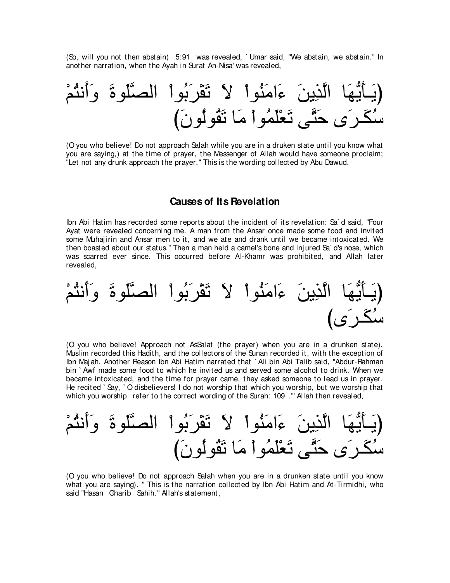(So, will you not then abstain) 5:91 was revealed, ` Umar said, "We abstain, we abstain.'' In another narration, when the Ayah in Surat An-Nisa' was revealed,



(O you who believe! Do not approach Salah while you are in a druken state until you know what you are saying,) at the time of prayer, the Messenger of Allah would have someone proclaim; "Let not any drunk approach the prayer.'' This is the wording collected by Abu Dawud.

#### **Causes of Its Revelation**

Ibn Abi Hatim has recorded some reports about the incident of its revelation: Sa` d said, "Four Ayat were revealed concerning me. A man from the Ansar once made some food and invited some Muhajirin and Ansar men to it, and we ate and drank until we became intoxicated. We then boasted about our status.'' Then a man held a camel's bone and inj ured Sa` d's nose, which was scarred ever since. This occurred before Al-Khamr was prohibited, and Allah later revealed,



(O you who believe! Approach not AsSalat (the prayer) when you are in a drunken state). Muslim recorded this Hadith, and the collectors of the Sunan recorded it, with the exception of Ibn Maj ah. Another Reason Ibn Abi Hatim narrated that ` Ali bin Abi Talib said, "Abdur-Rahman bin ` Awf made some food to which he invited us and served some alcohol to drink. When we became intoxicated, and the time for prayer came, they asked someone to lead us in prayer. He recited `Say, `O disbelievers! I do not worship that which you worship, but we worship that which you worship refer to the correct wording of the Surah: 109 ." Allah then revealed,



(O you who believe! Do not approach Salah when you are in a drunken state until you know what you are saying). '' This is the narration collected by Ibn Abi Hatim and At-Tirmidhi, who said "Hasan Gharib Sahih.'' Allah's statement,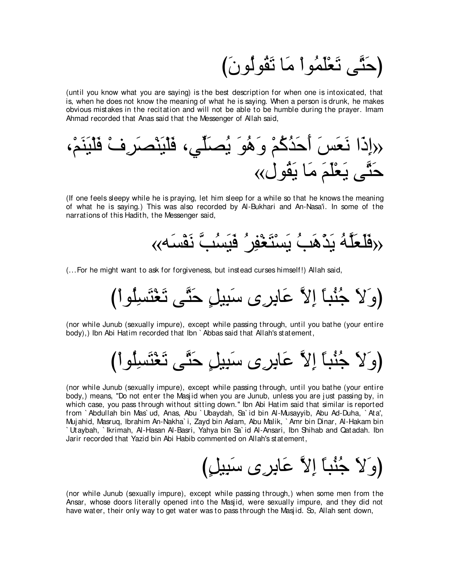(حَتَّى تَعْلَمُو أَ مَا تَقُولُونَ)

(until you know what you are saying) is the best description for when one is intoxicated, that is, when he does not know the meaning of what he is saying. When a person is drunk, he makes obvious mistakes in the recitation and will not be able to be humble during the prayer. Imam Ahmad recorded that Anas said that the Messenger of Allah said,



(If one feels sleepy while he is praying, let him sleep for a while so that he knows the meaning of what he is saying.) This was also recorded by Al-Bukhari and An-Nasa'i. In some of the narrations of this Hadith, the Messenger said,

«ヮ∠ジ∇ヘ∠ル zょ⊥ジ∠Β∠プ ⊥ゲ⌒ヘ∇ピ∠わ∇ジ∠Α ⊥ょ∠ワ∇グ∠Α ⊥ヮzヤ∠バ∠ヤ∠プ»

(...For he might want to ask for forgiveness, but instead curses himself!) Allah said,

び∇やヲ⊥ヤ⌒ジ∠わ∇ピ∠ゎ ヴzわ∠ェ ∃モΒ⌒ら∠シ ン⌒ゲ⌒よゅ∠ハ zΙ⌒ま ⇔ゅら⊥レ⊥ィ ∠Ι∠ヱぴ

(nor while Junub (sexually impure), except while passing through, until you bathe (your entire body),) Ibn Abi Hatim recorded that Ibn ` Abbas said that Allah's statement,

び∇やヲ⊥ヤ⌒ジ∠わ∇ピ∠ゎ ヴzわ∠ェ ∃モΒ⌒ら∠シ ン⌒ゲ⌒よゅ∠ハ zΙ⌒ま ⇔ゅら⊥レ⊥ィ ∠Ι∠ヱぴ

(nor while Junub (sexually impure), except while passing through, until you bathe (your entire body,) means, "Do not enter the Masj id when you are Junub, unless you are just passing by, in which case, you pass through without sitting down." Ibn Abi Hatim said that similar is reported from ` Abdullah bin Mas` ud, Anas, Abu ` Ubaydah, Sa` id bin Al-Musayyib, Abu Ad-Duha, ` Ata', Muj ahid, Masruq, Ibrahim An-Nakha` i, Zayd bin Aslam, Abu Malik, ` Amr bin Dinar, Al-Hakam bin ` Utaybah, ` Ikrimah, Al-Hasan Al-Basri, Yahya bin Sa` id Al-Ansari, Ibn Shihab and Qatadah. Ibn Jarir recorded that Yazid bin Abi Habib commented on Allah's statement,

び∃モΒ⌒ら∠シ ン⌒ゲ⌒よゅ∠ハ zΙ⌒ま ⇔ゅら⊥レ⊥ィ ∠Ι∠ヱぴ

(nor while Junub (sexually impure), except while passing through,) when some men from the Ansar, whose doors literally opened into the Masj id, were sexually impure, and they did not have water, their only way to get water was to pass through the Masjid. So, Allah sent down,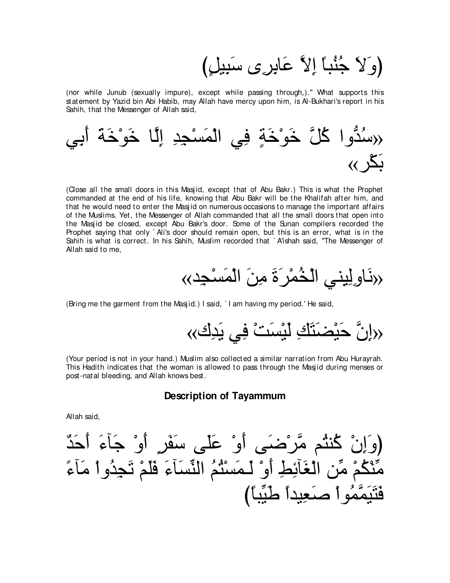(وَلاَ جُنُّباً إِلاَّ عَابِرِي سَبِيلٍ)

(nor while Junub (sexually impure), except while passing through,)." What supports this statement by Yazid bin Abi Habib, may Allah have mercy upon him, is Al-Bukhari's report in his Sahih, that the Messenger of Allah said,



(Close all the small doors in this Masjid, except that of Abu Bakr.) This is what the Prophet commanded at the end of his life, knowing that Abu Bakr will be the Khalifah after him, and that he would need to enter the Masjid on numerous occasions to manage the important affairs of the Muslims. Yet, the Messenger of Allah commanded that all the small doors that open into the Masjid be closed, except Abu Bakr's door. Some of the Sunan compilers recorded the Prophet saying that only `Ali's door should remain open, but this is an error, what is in the Sahih is what is correct. In his Sahih, Muslim recorded that `A'ishah said, "The Messenger of Allah said to me,

(Bring me the garment from the Masjid.) I said, I am having my period. He said,

$$
\langle\langle\bigcup\limits_{i=1}^{n}\tilde{\mathcal{L}}_{i}^{i}\bigcup\limits_{i=1}^{n}\tilde{\mathcal{L}}_{i}^{i}\bigcup\limits_{i=1}^{n}\tilde{\mathcal{L}}_{i}^{i}\bigcup\limits_{i=1}^{n}\tilde{\mathcal{L}}_{i}^{i}\bigcup\limits_{i=1}^{n}\tilde{\mathcal{L}}_{i}^{i}\bigcup\limits_{i=1}^{n}\tilde{\mathcal{L}}_{i}^{i}\bigcup\limits_{i=1}^{n}\tilde{\mathcal{L}}_{i}^{i}\bigcup\limits_{i=1}^{n}\tilde{\mathcal{L}}_{i}^{i}\bigcup\limits_{i=1}^{n}\tilde{\mathcal{L}}_{i}^{i}\bigcup\limits_{i=1}^{n}\tilde{\mathcal{L}}_{i}^{i}\bigcup\limits_{i=1}^{n}\tilde{\mathcal{L}}_{i}^{i}\bigcup\limits_{i=1}^{n}\tilde{\mathcal{L}}_{i}^{i}\bigcup\limits_{i=1}^{n}\tilde{\mathcal{L}}_{i}^{i}\bigcup\limits_{i=1}^{n}\tilde{\mathcal{L}}_{i}^{i}\bigcup\limits_{i=1}^{n}\tilde{\mathcal{L}}_{i}^{i}\bigcup\limits_{i=1}^{n}\tilde{\mathcal{L}}_{i}^{i}\bigcup\limits_{i=1}^{n}\tilde{\mathcal{L}}_{i}^{i}\bigcup\limits_{i=1}^{n}\tilde{\mathcal{L}}_{i}^{i}\bigcup\limits_{i=1}^{n}\tilde{\mathcal{L}}_{i}^{i}\bigcup\limits_{i=1}^{n}\tilde{\mathcal{L}}_{i}^{i}\bigcup\limits_{i=1}^{n}\tilde{\mathcal{L}}_{i}^{i}\bigcup\limits_{i=1}^{n}\tilde{\mathcal{L}}_{i}^{i}\bigcup\limits_{i=1}^{n}\tilde{\mathcal{L}}_{i}^{i}\bigcup\limits_{i=1}^{n}\tilde{\mathcal{L}}_{i}^{i}\bigcup\limits_{i=1}^{n}\tilde{\mathcal{L}}_{i}^{i}\bigcup\limits_{i=1}^{n}\tilde{\mathcal{L}}_{i}^{i}\bigcup\limits_{i=1}^{n}\tilde{\mathcal{L}}_{i}^{i}\bigcup\limits_{i=1}^{n}\tilde{\mathcal{L}}_{i}^{i}\bigcup\limits_{i=1}^{n}\tilde{\mathcal{L}}_{i}^{i}\big
$$

(Your period is not in your hand.) Muslim also collected a similar narration from Abu Hurayrah. This Hadith indicates that the woman is allowed to pass through the Masjid during menses or post-natal bleeding, and Allah knows best.

**Description of Tayammum** 

Allah said,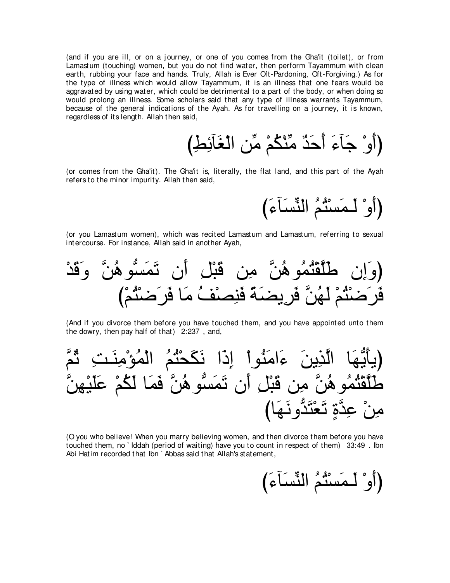(and if you are ill, or on a journey, or one of you comes from the Gha'it (toilet), or from Lamastum (touching) women, but you do not find water, then perform Tayammum with clean earth, rubbing your face and hands. Truly, Allah is Ever Oft-Pardoning, Oft-Forgiving.) As for the type of illness which would allow Tayammum, it is an illness that one fears would be aggravated by using water, which could be detrimental to a part of the body, or when doing so would prolong an illness. Some scholars said that any type of illness warrants Tayammum, because of the general indications of the Ayah. As for travelling on a journey, it is known, regardless of its length. Allah then said,

(or comes from the Gha'it). The Gha'it is, literally, the flat land, and this part of the Ayah refers to the minor impurity. Allah then said,

(or you Lamastum women), which was recited Lamastum and Lamastum, referring to sexual intercourse. For instance, Allah said in another Ayah,

(And if you divorce them before you have touched them, and you have appointed unto them the dowry, then pay half of that) 2:237, and,

(O you who believe! When you marry believing women, and then divorce them before you have touched them, no `lddah (period of waiting) have you to count in respect of them) 33:49. Ibn Abi Hatim recorded that Ibn `Abbas said that Allah's statement,

(أَوْ لَـمَسْنُمُ النِّسَآءَ)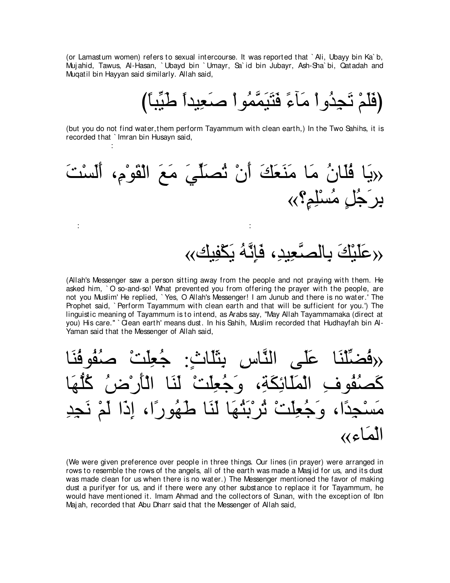(or Lamastum women) refers to sexual intercourse. It was reported that ` Ali, Ubayy bin Ka` b, Muj ahid, Tawus, Al-Hasan, ` Ubayd bin ` Umayr, Sa` id bin Jubayr, Ash-Sha` bi, Qatadah and Muqatil bin Hayyan said similarly. Allah said,

び⇔ゅらあΒ∠デ ⇔やギΒ⌒バ∠タ ∇やヲ⊥ヨzヨ∠Β∠わ∠プ ⇔¬べ∠ョ ∇やヱ⊥ギ⌒イ∠ゎ ∇ユ∠ヤ∠プぴ

(but you do not find water,them perform Tayammum with clean earth,) In the Two Sahihs, it is recorded that ` Imran bin Husayn said,

: 1999 - 1999 - 1999



(Allah's Messenger saw a person sitting away from the people and not praying with them. He asked him, `O so-and-so! What prevented you from offering the prayer with the people, are not you Muslim' He replied, ` Yes, O Allah's Messenger! I am Junub and there is no water.' The Prophet said, ` Perform Tayammum with clean earth and that will be sufficient for you.') The linguistic meaning of Tayammum is to intend, as Arabs say, "May Allah Tayammamaka (direct at you) His care." ` Clean earth' means dust. In his Sahih, Muslim recorded that Hudhayfah bin Al-Yaman said that the Messenger of Allah said,

ددقصَنَّلنَا عَلَى النَّاسِ بِثَّلَّاثٍ: جُعِل لَائِكَةِ، وكَجُعِلَتْ لَنَا الْأَرْضُ مَسْجِدًا، وَجُعِلْتْ ثَرْبَتْهَا لَنَا طَهُورًا، إِذا لَمْ نَجِدِ العَاء»

(We were given preference over people in three things. Our lines (in prayer) were arranged in rows to resemble the rows of the angels, all of the earth was made a Masjid for us, and its dust was made clean for us when there is no water.) The Messenger mentioned the favor of making dust a purifyer for us, and if there were any other substance to replace it for Tayammum, he would have mentioned it. Imam Ahmad and the collectors of Sunan, with the exception of Ibn Maj ah, recorded that Abu Dharr said that the Messenger of Allah said,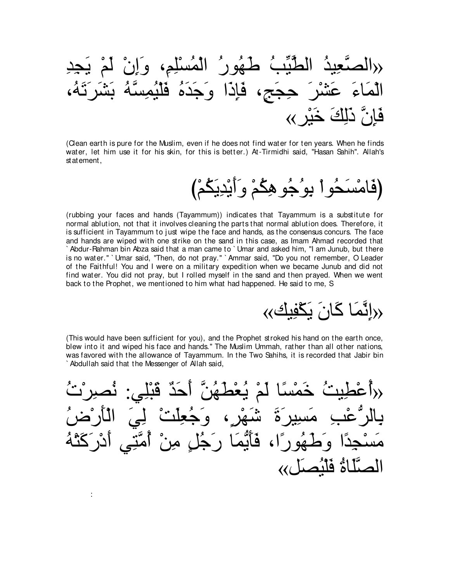⌒ギ⌒イ∠Α ∇ユ∠ャ ∇ラ⌒ま∠ヱ ∩⌒ユ⌒ヤ∇ジ⊥ヨ∇ャや ⊥ケヲ⊥ヰ∠デ ⊥ょあΒzトャや ⊥ギΒ⌒バzダャや» ∩⊥ヮ∠ゎ∠ゲ∠ゼ∠よ ⊥ヮzジ⌒ヨ⊥Β∇ヤ∠プ ⊥ロ∠ギ∠ィ∠ヱ や∠ク⌒み∠プ ∩∃ア∠イ⌒ェ ∠ゲ∇ゼ∠ハ ∠¬ゅ∠ヨ∇ャや «ゲ∇Β∠カ ∠マ⌒ャ∠ク zラ⌒み∠プ

(Clean earth is pure for the Muslim, even if he does not find water for ten years. When he finds water, let him use it for his skin, for this is better.) At-Tirmidhi said, "Hasan Sahih''. Allah's statement,

び∇ユ⊥ム∠Α⌒ギ∇Α∠ぺ∠ヱ ∇ユ⊥ム⌒ワヲ⊥ィ⊥ヲ⌒よ ∇やヲ⊥エ∠ジ∇ョゅ∠プぴ

(rubbing your faces and hands (Tayammum)) indicates that Tayammum is a substitute for normal ablution, not that it involves cleaning the parts that normal ablution does. Therefore, it is sufficient in Tayammum to just wipe the face and hands, as the consensus concurs. The face and hands are wiped with one strike on the sand in this case, as Imam Ahmad recorded that ` Abdur-Rahman bin Abza said that a man came to ` Umar and asked him, "I am Junub, but there is no water.'' ` Umar said, "Then, do not pray.'' ` Ammar said, "Do you not remember, O Leader of the Faithful! You and I were on a military expedition when we became Junub and did not find water. You did not pray, but I rolled myself in the sand and then prayed. When we went back to the Prophet, we mentioned to him what had happened. He said to me, S

«راِنَّمَا كَانَ يَكْفِيك»)

(This would have been sufficient for you), and the Prophet stroked his hand on the earth once, blew into it and wiped his face and hands.'' The Muslim Ummah, rather than all other nations, was favored with the allowance of Tayammum. In the Two Sahihs, it is recorded that Jabir bin ` Abdullah said that the Messenger of Allah said,

دراًعْطِيتُ خَمْسًا لَمْ يُعْطَهُنَّ أَحَدٌ قَبْلِي: نُصبِر ْتُ يالرَّعْبِ مَسِير<sup>ِ</sup>ةَ شَهْرٍ، وَجُعِلَّتْ لِيَ الْأَرْضُ ا، فَاتِمَا رجا الصلَّلاةُ فَلنُصلَ»

: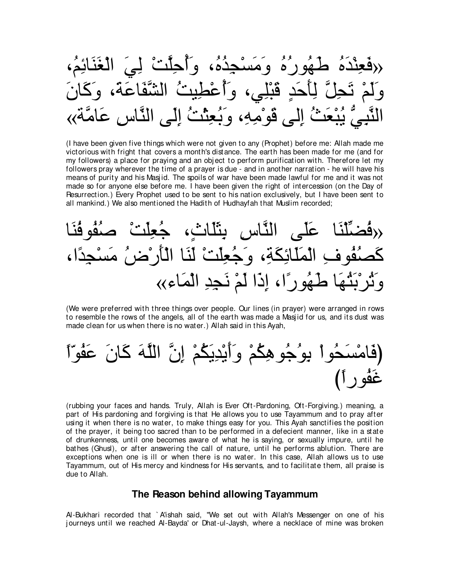**⊃و مسڪدَهَ، وا** ڪَدِ قَبْلِيء و َأَعْطِبِينُ الشَّفَاعَةَ، و َ قو ٌمە، ونَعِثْتُ الَّهِ *∆*النَّاس

(I have been given five things which were not given to any (Prophet) before me: Allah made me victorious with fright that covers a month's distance. The earth has been made for me (and for my followers) a place for praying and an obj ect to perform purification with. Therefore let my followers pray wherever the time of a prayer is due - and in another narration - he will have his means of purity and his Masjid. The spoils of war have been made lawful for me and it was not made so for anyone else before me. I have been given the right of intercession (on the Day of Resurrection.) Every Prophet used to be sent to his nation exclusively, but I have been sent to all mankind.) We also mentioned the Hadith of Hudhayfah that Muslim recorded;

عَلّـے النَّاس بِٽَٽاٽ، جُ ائكَة، وكَحلّتْ لذا الأر°ض ُ مُورِ ًا، إِذَا لَمْ نَجِدِ الْمَاءِ»

(We were preferred with three things over people. Our lines (in prayer) were arranged in rows to resemble the rows of the angels, all of the earth was made a Masj id for us, and its dust was made clean for us when there is no water.) Allah said in this Ayah,



(rubbing your faces and hands. Truly, Allah is Ever Oft-Pardoning, Oft-Forgiving.) meaning, a part of His pardoning and forgiving is that He allows you to use Tayammum and to pray after using it when there is no water, to make things easy for you. This Ayah sanctifies the position of the prayer, it being too sacred than to be performed in a defecient manner, like in a state of drunkenness, until one becomes aware of what he is saying, or sexually impure, until he bathes (Ghusl), or after answering the call of nature, until he performs ablution. There are exceptions when one is ill or when there is no water. In this case, Allah allows us to use Tayammum, out of His mercy and kindness for His servants, and to facilitate them, all praise is due to Allah.

#### **The Reason behind allowing Tayammum**

Al-Bukhari recorded that ` A'ishah said, "We set out with Allah's Messenger on one of his j ourneys until we reached Al-Bayda' or Dhat-ul-Jaysh, where a necklace of mine was broken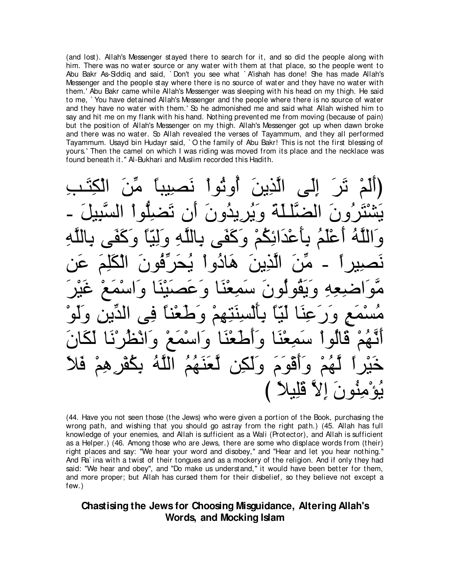(and lost). Allah's Messenger stayed there to search for it, and so did the people along with him. There was no water source or any water with them at that place, so the people went to Abu Bakr As-Siddiq and said, ` Don't you see what ` A'ishah has done! She has made Allah's Messenger and the people stay where there is no source of water and they have no water with them.' Abu Bakr came while Allah's Messenger was sleeping with his head on my thigh. He said to me, ` You have detained Allah's Messenger and the people where there is no source of water and they have no water with them.' So he admonished me and said what Allah wished him to say and hit me on my flank with his hand. Nothing prevented me from moving (because of pain) but the position of Allah's Messenger on my thigh. Allah's Messenger got up when dawn broke and there was no water. So Allah revealed the verses of Tayammum, and they all performed Tayammum. Usayd bin Hudayr said, ` O the family of Abu Bakr! This is not the first blessing of yours.' Then the camel on which I was riding was moved from its place and the necklace was found beneath it.'' Al-Bukhari and Muslim recorded this Hadith.



(44. Have you not seen those (the Jews) who were given a portion of the Book, purchasing the wrong path, and wishing that you should go astray from the right path.) (45. Allah has full knowledge of your enemies, and Allah is sufficient as a Wali (Protector), and Allah is sufficient as a Helper.) (46. Among those who are Jews, there are some who displace words from (their) right places and say: "We hear your word and disobey,'' and "Hear and let you hear nothing.'' And Ra` ina with a twist of their tongues and as a mockery of the religion. And if only they had said: "We hear and obey", and "Do make us understand," it would have been better for them, and more proper; but Allah has cursed them for their disbelief, so they believe not except a few.)

## **Chastising the Jews for Choosing Misguidance, Altering Allah's Words, and Mocking Islam**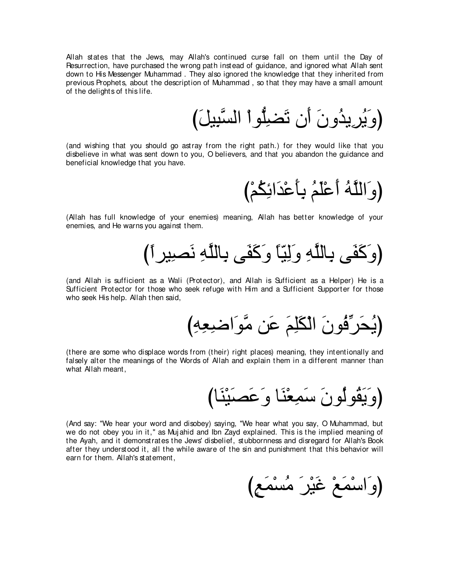Allah states that the Jews, may Allah's continued curse fall on them until the Day of Resurrection, have purchased the wrong path instead of guidance, and ignored what Allah sent down to His Messenger Muhammad . They also ignored the knowledge that they inherited from previous Prophets, about the description of Muhammad , so that they may have a small amount of the delights of this life.

び∠モΒ⌒らzジャや ∇やヲぁヤ⌒ツ∠ゎ ラ∠ぺ ∠ラヱ⊥ギΑ⌒ゲ⊥Α∠ヱぴ

(and wishing that you should go astray from the right path.) for they would like that you disbelieve in what was sent down to you, O believers, and that you abandon the guidance and beneficial knowledge that you have.

(وَاللَّهُ أَعْلَمُ بِأَعْدَائِكُمْ)

(Allah has full knowledge of your enemies) meaning, Allah has better knowledge of your enemies, and He warns you against them.

び⇔やゲΒ⌒ダ∠ル ⌒ヮzヤャゅ⌒よ ヴ∠ヘ∠ミ∠ヱ ⇔ゅ∂Β⌒ャ∠ヱ ⌒ヮzヤャゅ⌒よ ヴ∠ヘ∠ミ∠ヱぴ

(and Allah is sufficient as a Wali (Protector), and Allah is Sufficient as a Helper) He is a Sufficient Protector for those who seek refuge with Him and a Sufficient Supporter for those who seek His help. Allah then said,

び⌒ヮ⌒バ⌒ッや∠ヲzョ リ∠ハ ∠ユ⌒ヤ∠ム∇ャや ∠ラヲ⊥プあゲ∠エ⊥Αぴ

(there are some who displace words from (their) right places) meaning, they intentionally and falsely alter the meanings of the Words of Allah and explain them in a different manner than what Allah meant,

びゅ∠レ∇Β∠ダ∠ハ∠ヱ ゅ∠レ∇バ⌒ヨ∠シ ∠ラヲ⊥ャヲ⊥ボ∠Α∠ヱぴ

(And say: "We hear your word and disobey) saying, "We hear what you say, O Muhammad, but we do not obey you in it,'' as Muj ahid and Ibn Zayd explained. This is the implied meaning of the Ayah, and it demonstrates the Jews' disbelief, stubbornness and disregard for Allah's Book after they understood it, all the while aware of the sin and punishment that this behavior will earn for them. Allah's statement,

(وَاسْمَعْ غَيْرَ مُسْمَعٍ)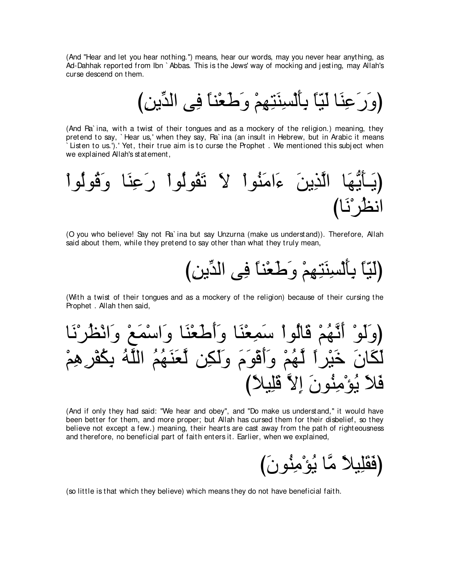(And "Hear and let you hear nothing.'') means, hear our words, may you never hear anything, as Ad-Dahhak reported from Ibn ` Abbas. This is the Jews' way of mocking and j esting, may Allah's curse descend on them.

(وَرَ عِنَا لَيَّا بِأَلْسِنَتِهِمْ وَطَعْناً فِي الذِّينِ)

(And Ra` ina, with a twist of their tongues and as a mockery of the religion.) meaning, they pretend to say, ` Hear us,' when they say, Ra` ina (an insult in Hebrew, but in Arabic it means `Listen to us.').' Yet, their true aim is to curse the Prophet. We mentioned this subject when we explained Allah's statement,



(O you who believe! Say not Ra` ina but say Unzurna (make us understand)). Therefore, Allah said about them, while they pretend to say other than what they truly mean,

び⌒リΑあギャや ヴ⌒プ ⇔ゅレ∇バ∠デ∠ヱ ∇ユ⌒ヰ⌒わ∠レ⌒ジ∇ャ∠ほ⌒よ ⇔ゅ∂Β∠ャぴ

(With a twist of their tongues and as a mockery of the religion) because of their cursing the Prophet . Allah then said,

ゅ∠ル∇ゲ⊥ヌ∇ルや∠ヱ ∇ノ∠ヨ∇シや∠ヱ ゅ∠レ∇バ∠デ∠ぺ∠ヱ ゅ∠レ∇バ⌒ヨ∠シ ∇やヲ⊥ャゅ∠ホ ∇ユ⊥ヰzル∠ぺ ∇ヲ∠ャ∠ヱぴ ∇ユ⌒ワ⌒ゲ∇ヘ⊥ム⌒よ ⊥ヮzヤャや ⊥ユ⊥ヰ∠レ∠バzャ リ⌒ム∠ャ∠ヱ ∠ュ∠ヲ∇ホ∠ぺ∠ヱ ∇ユ⊥ヰzャ ⇔やゲ∇Β∠カ ∠ラゅ∠ム∠ャ び⇔ΚΒ⌒ヤ∠ホ zΙ⌒ま ∠ラヲ⊥レ⌒ョ∇ぽ⊥Α ∠Κ∠プ

(And if only they had said: "We hear and obey'', and "Do make us understand,'' it would have been better for them, and more proper; but Allah has cursed them for their disbelief, so they believe not except a few.) meaning, their hearts are cast away from the path of righteousness and therefore, no beneficial part of faith enters it. Earlier, when we explained,

(فَقَلِيلاً مَّا يُوْمِثُونَ)

(so little is that which they believe) which means they do not have beneficial faith.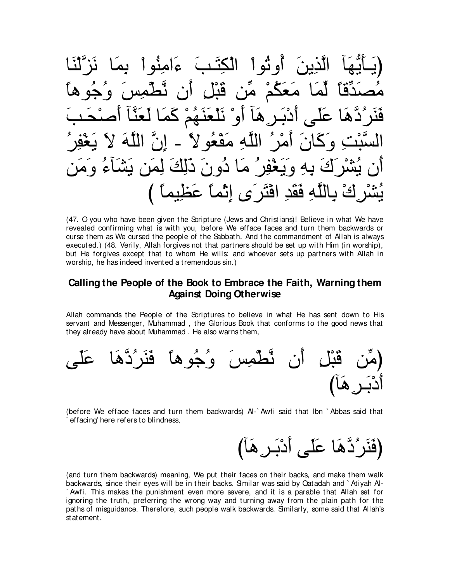أُوثُواْ الْكِتَـٰبَ ءَامِنُواْ بِمَ ِ مَعَكُمْ مِّن قَبْلِ أَن نَّطْمِسِ لَّمَا أَدْبَـرٍ هَآ أَو ۘ نَاْعَنَـٰهُمْ كَمَ اللَّه مَقْعُو لاَ ـ ما دَونَ ذَلِكَ لَمَن بعقد  $\bullet$ كُ بِاللَّهِ فَقَدِ اقْتَرِ َى إِنَّما عَظِيماً )

(47. O you who have been given the Scripture (Jews and Christians)! Believe in what We have revealed confirming what is with you, before We efface faces and turn them backwards or curse them as We cursed the people of the Sabbath. And the commandment of Allah is always executed.) (48. Verily, Allah forgives not that partners should be set up with Him (in worship), but He forgives except that to whom He wills; and whoever sets up partners with Allah in worship, he has indeed invented a tremendous sin.)

## Calling the People of the Book to Embrace the Faith, Warning them **Against Doing Otherwise**

Allah commands the People of the Scriptures to believe in what He has sent down to His servant and Messenger, Muhammad, the Glorious Book that conforms to the good news that they already have about Muhammad. He also warns them,



(before We efface faces and turn them backwards) Al-`Awfi said that Ibn `Abbas said that effacing' here refers to blindness,

(فَذَرُدَّهَا عَلَى أَدْبَـرٍ هَآ)

(and turn them backwards) meaning, We put their faces on their backs, and make them walk backwards, since their eyes will be in their backs. Similar was said by Qatadah and `Atiyah Al-`Awfi. This makes the punishment even more severe, and it is a parable that Allah set for ignoring the truth, preferring the wrong way and turning away from the plain path for the paths of misquidance. Therefore, such people walk backwards. Smilarly, some said that Allah's statement.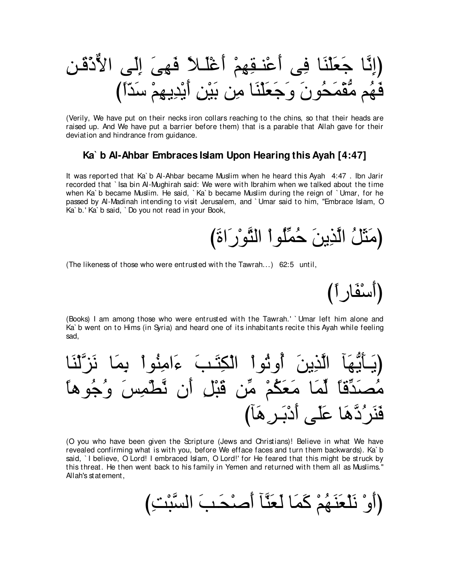(Verily, We have put on their necks iron collars reaching to the chins, so that their heads are raised up. And We have put a barrier before them) that is a parable that Allah gave for their deviation and hindrance from quidance.

## Ka` b Al-Ahbar Embraces Islam Upon Hearing this Ayah [4:47]

It was reported that Ka`b Al-Ahbar became Muslim when he heard this Ayah 4:47. Ibn Jarir recorded that `Isa bin Al-Mughirah said: We were with Ibrahim when we talked about the time when Ka'b became Muslim. He said, 'Ka'b became Muslim during the reign of 'Umar, for he passed by Al-Madinah intending to visit Jerusalem, and `Umar said to him, "Embrace Islam, O Ka' b.' Ka' b said, ' Do you not read in your Book,

## (مَثَلُ الَّذِينَ حُمِّلُو ا النَّوْرَاةَ)

(The likeness of those who were entrusted with the Tawrah...) 62:5 until,

(أَسْفَارٍ أَ)

(Books) I am among those who were entrusted with the Tawrah.' `Umar left him alone and Ka' b went on to Hims (in Syria) and heard one of its inhabitants recite this Ayah while feeling sad.

(O you who have been given the Scripture (Jews and Christians)! Believe in what We have revealed confirming what is with you, before We efface faces and turn them backwards). Ka`b said, I believe, O Lord! I embraced Islam, O Lord!' for He feared that this might be struck by this threat. He then went back to his family in Yemen and returned with them all as Muslims." Allah's statement,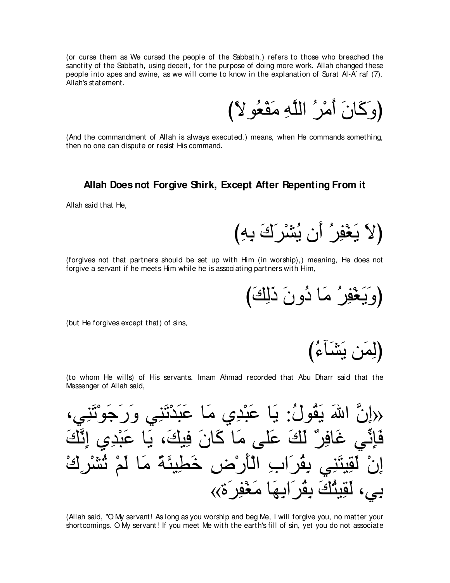(or curse them as We cursed the people of the Sabbath.) refers to those who breached the sanctity of the Sabbath, using deceit, for the purpose of doing more work. Allah changed these people into apes and swine, as we will come to know in the explanation of Surat Al-A` raf (7). Allah's statement,

(وَكَانَ أَمْرُ اللَّهِ مَقْعُو لاَ )

(And the commandment of Allah is always executed.) means, when He commands something, then no one can dispute or resist His command.

## **Allah Does not Forgive Shirk, Except After Repenting From it**

Allah said that He,

(لاَ يَعْفِرُ أَن يُشْرَكَ بِهِ)

(forgives not that partners should be set up with Him (in worship),) meaning, He does not forgive a servant if he meets Him while he is associating partners with Him,

(وَيَغْفِرُ مَا دُونَ ذَلِكَ)

(but He forgives except that) of sins,

(لِمَن يَشَاءُ)

(to whom He wills) of His servants. Imam Ahmad recorded that Abu Dharr said that the Messenger of Allah said,



(Allah said, "O My servant! As long as you worship and beg Me, I will forgive you, no matter your shortcomings. O My servant! If you meet Me with the earth's fill of sin, yet you do not associate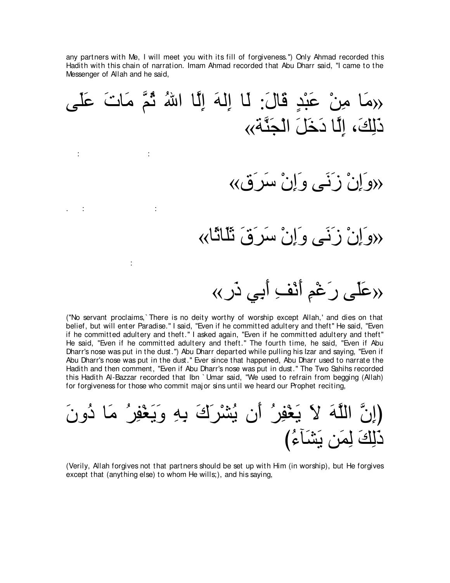any partners with Me, I will meet you with its fill of forgiveness.'') Only Ahmad recorded this Hadith with this chain of narration. Imam Ahmad recorded that Abu Dharr said, "I came to the Messenger of Allah and he said,

<دمَا مِنْ عَبْدِ قَالَ: لَا إِلهَ إِلَّا اللهُ ثُمَّ مَاتَ عَلَى دَلِكَ، إِلَّا دَخَلَ الْحَدَّةُ››  $\mathcal{L} \subset \mathcal{L}$  is a set of  $\mathcal{L} \subset \mathcal{L}$  . In the set of  $\mathcal{L}$ «و َإِنْ زَنَّبِي وَإِنْ سَرَقٍ» . In the set of the set of the set of the set of the set of the set of the set of the set of the set of the set of the set of the set of the set of the set of the set of the set of the set of the set of the set of the set «وَإِنْ زِنَمِي وَإِنْ سَرِقَ ثَلْاثًا» **Service State State** «حَلّي رَغْمِ أَنْفِ أَبِي ذَرٍ»

("No servant proclaims,` There is no deity worthy of worship except Allah,' and dies on that belief, but will enter Paradise.'' I said, "Even if he committed adultery and theft'' He said, "Even if he committed adultery and theft.'' I asked again, "Even if he committed adultery and theft'' He said, "Even if he committed adultery and theft.'' The fourth time, he said, "Even if Abu Dharr's nose was put in the dust.'') Abu Dharr departed while pulling his Izar and saying, "Even if Abu Dharr's nose was put in the dust.'' Ever since that happened, Abu Dharr used to narrate the Hadith and then comment, "Even if Abu Dharr's nose was put in dust.'' The Two Sahihs recorded this Hadith Al-Bazzar recorded that Ibn ` Umar said, "We used to refrain from begging (Allah) for forgiveness for those who commit major sins until we heard our Prophet reciting,

(إِنَّ اللَّهَ لاَ يَغْفِرُ أَن يُشْرَكَ بِهِ وَيَغْفِرُ مَا دُونَ ذَلِكَ لِمَن يَشَاءُ)

(Verily, Allah forgives not that partners should be set up with Him (in worship), but He forgives except that (anything else) to whom He wills;), and his saying,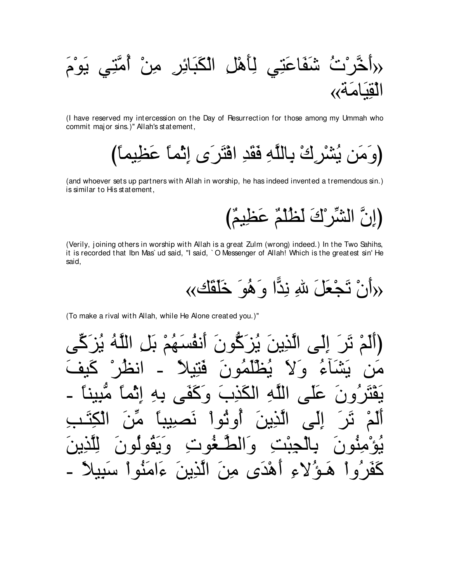(I have reserved my intercession on the Day of Resurrection for those among my Ummah who commit major sins.)" Allah's statement,

(and whoever sets up partners with Allah in worship, he has indeed invented a tremendous sin.) is similar to His statement,

(Verily, joining others in worship with Allah is a great Zulm (wrong) indeed.) In the Two Sahihs, it is recorded that Ibn Mas'ud said, "I said, `O Messenger of Allah! Which is the greatest sin' He said,

(To make a rival with Allah, while He Alone created you.)"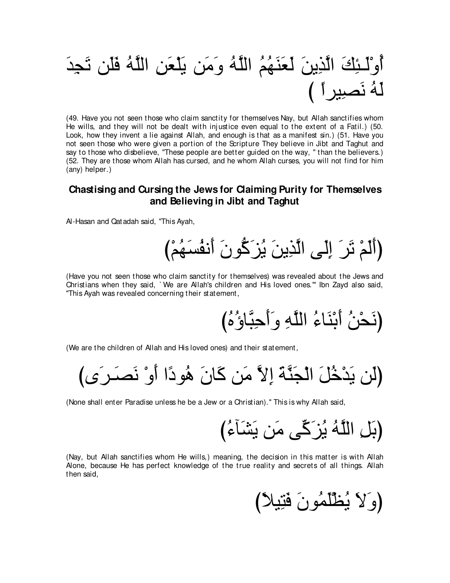

(49. Have you not seen those who claim sanctity for themselves Nay, but Allah sanctifies whom He wills, and they will not be dealt with injustice even equal to the extent of a Fatil.) (50. Look, how they invent a lie against Allah, and enough is that as a manifest sin.) (51. Have you not seen those who were given a portion of the Scripture They believe in Jibt and Taghut and say to those who disbelieve, "These people are better guided on the way, "than the believers.) (52. They are those whom Allah has cursed, and he whom Allah curses, you will not find for him (any) helper.)

## **Chastising and Cursing the Jews for Claiming Purity for Themselves and Believing in Jibt and Taghut**

Al-Hasan and Qatadah said, "This Ayah,

# (اَلَمْ تَرَ إِلَى الَّذِينَ يُزَكُّونَ أَنفُسَهُمْ)

(Have you not seen those who claim sanctity for themselves) was revealed about the Jews and Christians when they said, ` We are Allah's children and His loved ones.''' Ibn Zayd also said, "This Ayah was revealed concerning their statement,

び⊥ロ⊥ぼゅzら⌒ェ∠ぺ∠ヱ ⌒ヮzヤャや ⊥¬ゅ∠レ∇よ∠ぺ ⊥リ∇エ∠ルぴ

(We are the children of Allah and His loved ones) and their statement,

びン∠ゲ⇒∠ダ∠ル ∇ヱ∠ぺ や⇔キヲ⊥ワ ∠ラゅ∠ミ リ∠ョ zΙ⌒ま ∠るzレ∠イ∇ャや ∠モ⊥カ∇ギ∠Α リ∠ャぴ

(None shall enter Paradise unless he be a Jew or a Christian).'' This is why Allah said,

び⊥¬べ∠ゼ∠Α リ∠ョ ヴあミ∠ゴ⊥Α ⊥ヮzヤャや ⌒モ∠よぴ

(Nay, but Allah sanctifies whom He wills,) meaning, the decision in this matter is with Allah Alone, because He has perfect knowledge of the true reality and secrets of all things. Allah then said,

(وَلاَ يُظْلَمُونَ فَتِيلاً)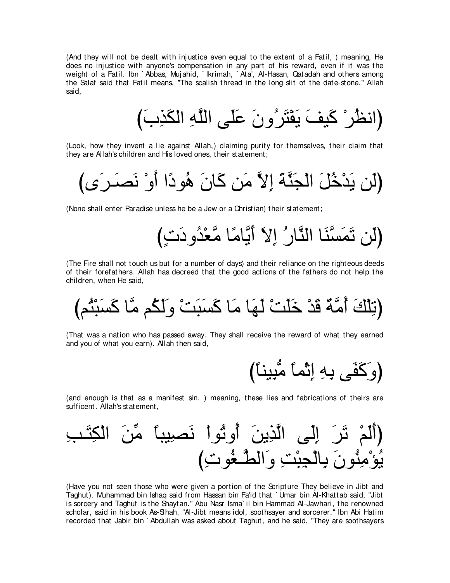(And they will not be dealt with injustice even equal to the extent of a Fatil, ) meaning, He does no inj ustice with anyone's compensation in any part of his reward, even if it was the weight of a Fatil. Ibn ` Abbas, Muj ahid, ` Ikrimah, ` Ata', Al-Hasan, Qatadah and others among the Salaf said that Fatil means, "The scalish thread in the long slit of the date-stone.'' Allah said,

び∠ゆ⌒グ∠ムャや ⌒ヮzヤャや ヴ∠ヤ∠ハ ∠ラヱ⊥ゲ∠わ∇ヘ∠Α ∠ブΒ∠ミ ∇ゲ⊥ヌルやぴ

(Look, how they invent a lie against Allah,) claiming purity for themselves, their claim that they are Allah's children and His loved ones, their statement;

びン∠ゲ⇒∠ダ∠ル ∇ヱ∠ぺ や⇔キヲ⊥ワ ∠ラゅ∠ミ リ∠ョ zΙ⌒ま ∠るzレ∠イ∇ャや ∠モ⊥カ∇ギ∠Α リ∠ャぴ

(None shall enter Paradise unless he be a Jew or a Christian) their statement;

び∃れ∠キヱ⊥ギ∇バzョ ゅ⇔ョゅzΑ∠ぺ ∠Ι⌒ま ⊥ケゅzレャや ゅ∠レzジ∠ヨ∠ゎ リ∠ャぴ

(The Fire shall not touch us but for a number of days) and their reliance on the righteous deeds of their forefathers. Allah has decreed that the good actions of the fathers do not help the children, when He said,

びユ⊥わ∇ら∠ジ∠ミ ゅzョ ユ⊥ム∠ャ∠ヱ ∇ろ∠ら∠ジ∠ミ ゅ∠ョ ゅ∠ヰ∠ャ ∇ろ∠ヤ∠カ ∇ギ∠ホ ∀るzョ⊥ぺ ∠マ∇ヤ⌒ゎぴ

(That was a nation who has passed away. They shall receive the reward of what they earned and you of what you earn). Allah then said,

(وَكَفَى بِهِ إِنَّمَا مُّبِيناً)

(and enough is that as a manifest sin. ) meaning, these lies and fabrications of theirs are sufficent. Allah's statement,

⌒ょ⇒∠わ⌒ム∇ャや ∠リあョ ⇔ゅらΒ⌒ダ∠ル ∇やヲ⊥ゎヱ⊥ぺ ∠リΑ⌒グzャや ヴ∠ャ⌒ま ∠ゲ∠ゎ ∇ユ∠ャ∠ぺぴ び⌒れヲ⊥ピ⇒zトャや∠ヱ ⌒ろ∇ら⌒イ∇ャゅ⌒よ ∠ラヲ⊥レ⌒ョ∇ぽ⊥Α

(Have you not seen those who were given a portion of the Scripture They believe in Jibt and Taghut). Muhammad bin Ishaq said from Hassan bin Fa'id that ` Umar bin Al-Khattab said, "Jibt is sorcery and Taghut is the Shaytan.'' Abu Nasr Isma` il bin Hammad Al-Jawhari, the renowned scholar, said in his book As-Shah, "Al-Jibt means idol, soothsayer and sorcerer." Ibn Abi Hatim recorded that Jabir bin ` Abdullah was asked about Taghut, and he said, "They are soothsayers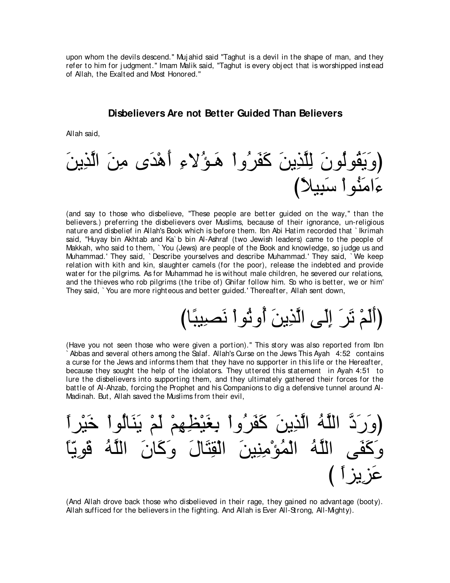upon whom the devils descend.'' Muj ahid said "Taghut is a devil in the shape of man, and they refer to him for judgment." Imam Malik said, "Taghut is every object that is worshipped instead of Allah, the Exalted and Most Honored.''

#### **Disbelievers Are not Better Guided Than Believers**

Allah said,



(and say to those who disbelieve, "These people are better guided on the way," than the believers.) preferring the disbelievers over Muslims, because of their ignorance, un-religious nature and disbelief in Allah's Book which is before them. Ibn Abi Hatim recorded that ` Ikrimah said, "Huyay bin Akhtab and Ka` b bin Al-Ashraf (two Jewish leaders) came to the people of Makkah, who said to them, ` You (Jews) are people of the Book and knowledge, so j udge us and Muhammad.' They said, ` Describe yourselves and describe Muhammad.' They said, ` We keep relation with kith and kin, slaughter camels (for the poor), release the indebted and provide water for the pilgrims. As for Muhammad he is without male children, he severed our relations, and the thieves who rob pilgrims (the tribe of) Ghifar follow him. So who is better, we or him' They said, ` You are more righteous and better guided.' Thereafter, Allah sent down,

(أَلَمْ تَرَ إِلَى الَّذِينَ أُوِثُو ا نَصبِيَا)

(Have you not seen those who were given a portion).'' This story was also reported from Ibn Abbas and several others among the Salaf. Allah's Curse on the Jews This Ayah 4:52 contains a curse for the Jews and informs them that they have no supporter in this life or the Hereafter, because they sought the help of the idolators. They uttered this statement in Ayah 4:51 to lure the disbelievers into supporting them, and they ultimately gathered their forces for the battle of Al-Ahzab, forcing the Prophet and his Companions to dig a defensive tunnel around Al-Madinah. But, Allah saved the Muslims from their evil,

⇔やゲ∇Β∠カ ∇やヲ⊥ャゅ∠レ∠Α ∇ユ∠ャ ∇ユ⌒ヰ⌒ヌ∇Β∠ピ⌒よ ∇やヱ⊥ゲ∠ヘ∠ミ ∠リΑ⌒グzャや ⊥ヮzヤャや zキ∠ケ∠ヱぴ ⇔ゅ∂Α⌒ヲ∠ホ ⊥ヮzヤャや ∠ラゅ∠ミ∠ヱ ∠メゅ∠わ⌒ボ∇ャや ∠リΒ⌒レ⌒ョ∇ぽ⊥ヨ∇ャや ⊥ヮzヤャや ヴ∠ヘ∠ミ∠ヱ び ⇔やゴΑ⌒ゴ∠ハ

(And Allah drove back those who disbelieved in their rage, they gained no advantage (booty). Allah sufficed for the believers in the fighting. And Allah is Ever All-Strong, All-Mighty).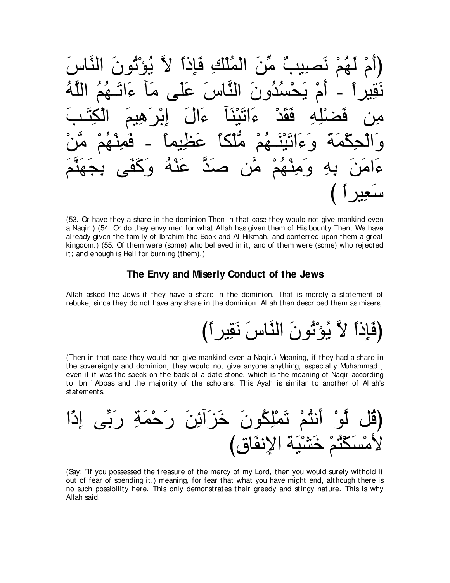

(53. Or have they a share in the dominion Then in that case they would not give mankind even a Nagir.) (54. Or do they envy men for what Allah has given them of His bounty Then, We have already given the family of Ibrahim the Book and Al-Hikmah, and conferred upon them a great kingdom.) (55. Of them were (some) who believed in it, and of them were (some) who rejected it; and enough is Hell for burning (them).)

#### The Envy and Miserly Conduct of the Jews

Allah asked the Jews if they have a share in the dominion. That is merely a statement of rebuke, since they do not have any share in the dominion. Allah then described them as misers,

(Then in that case they would not give mankind even a Nagir.) Meaning, if they had a share in the sovereignty and dominion, they would not give anyone anything, especially Muhammad, even if it was the speck on the back of a date-stone, which is the meaning of Nagir according to Ibn `Abbas and the majority of the scholars. This Ayah is similar to another of Allah's statements.

(Say: "If you possessed the treasure of the mercy of my Lord, then you would surely withold it out of fear of spending it.) meaning, for fear that what you have might end, although there is no such possibility here. This only demonstrates their greedy and stingy nature. This is why Allah said,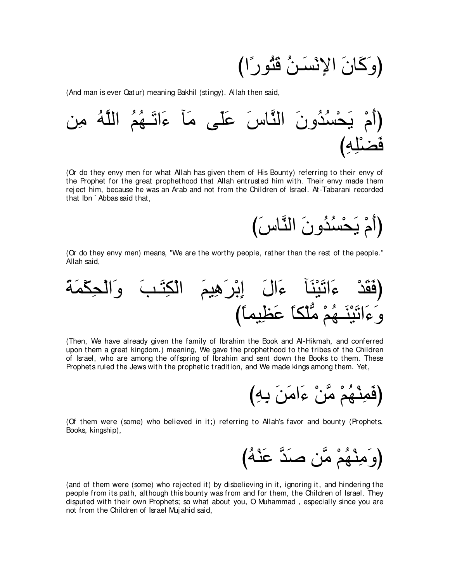(وَكَانَ الإِنْسَنُ قَثُورًا)

(And man is ever Qatur) meaning Bakhil (stingy). Allah then said,

(Or do they envy men for what Allah has given them of His Bounty) referring to their envy of the Prophet for the great prophethood that Allah entrusted him with. Their envy made them reject him, because he was an Arab and not from the Children of Israel. At-Tabarani recorded that Ibn `Abbas said that.

(أَمْ يَحْسُدُونَ النَّاسَ)

(Or do they envy men) means, "We are the worthy people, rather than the rest of the people." Allah said,

(Then, We have already given the family of Ibrahim the Book and Al-Hikmah, and conferred upon them a great kingdom.) meaning. We gave the prophethood to the tribes of the Children of Israel, who are among the offspring of Ibrahim and sent down the Books to them. These Prophets ruled the Jews with the prophetic tradition, and We made kings among them. Yet,

(فَمِنْهُمْ مَّنْ ءَامَنَ بِهِ)

(Of them were (some) who believed in it;) referring to Allah's favor and bounty (Prophets, Books, kingship),

(وَمِنْهُمْ مَّن صَدَّ عَنْهُ)

(and of them were (some) who rejected it) by disbelieving in it, ignoring it, and hindering the people from its path, although this bounty was from and for them, the Children of Israel. They disputed with their own Prophets; so what about you, O Muhammad, especially since you are not from the Children of Israel Mujahid said,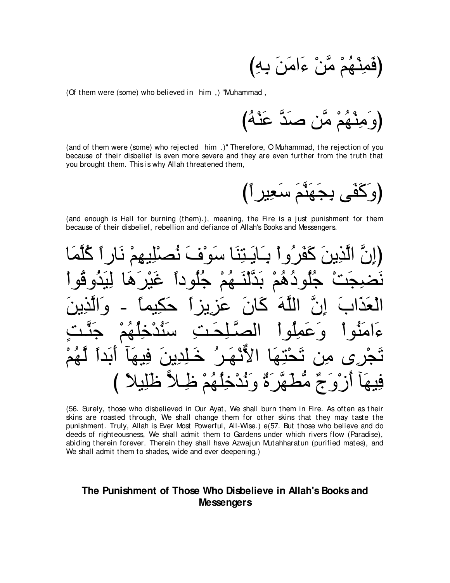(فَمِنْهُمْ مَّنْ ءَامَنَ بِهِ)

(Of them were (some) who believed in him, ) "Muhammad,

(وَمِنْهُمْ مَّن صَدَّ عَنْهُ)

(and of them were (some) who rejected him.)" Therefore, O Muhammad, the rejection of you because of their disbelief is even more severe and they are even further from the truth that you brought them. This is why Allah threatened them,

(وَكَفَى بِجَهَنَّمَ سَعِيراً)

(and enough is Hell for burning (them).), meaning, the Fire is a just punishment for them because of their disbelief, rebellion and defiance of Allah's Books and Messengers.

(56. Surely, those who disbelieved in Our Ayat, We shall burn them in Fire. As often as their skins are roasted through. We shall change them for other skins that they may taste the punishment. Truly, Allah is Ever Most Powerful, All-Wise.) e(57. But those who believe and do deeds of righteousness, We shall admit them to Gardens under which rivers flow (Paradise), abiding therein forever. Therein they shall have Azwaiun Mutahharatun (purified mates), and We shall admit them to shades, wide and ever deepening.)

## The Punishment of Those Who Disbelieve in Allah's Books and **Messengers**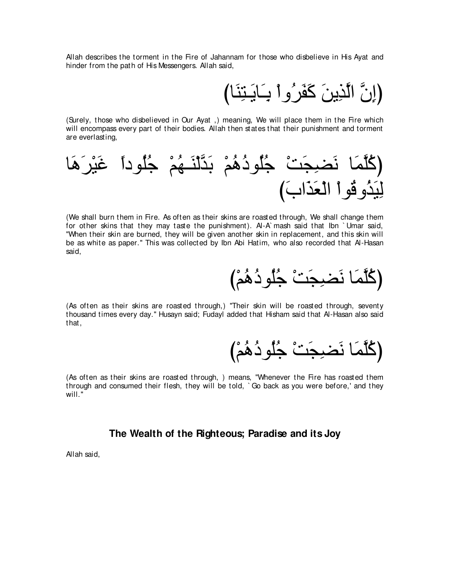Allah describes the torment in the Fire of Jahannam for those who disbelieve in His Ayat and hinder from the path of His Messengers. Allah said,

びゅ∠レ⌒わ⇒∠Αゅ∠⇒⌒よ ∇やヱ⊥ゲ∠ヘ∠ミ ∠リΑ⌒グzャや zラ⌒まぴ

(Surely, those who disbelieved in Our Ayat ,) meaning, We will place them in the Fire which will encompass every part of their bodies. Allah then states that their punishment and torment are everlasting,

ゅ∠ワ∠ゲ∇Β∠ビ ⇔やキヲ⊥ヤ⊥ィ ∇ユ⊥ヰ⇒∠レ∇ャzギ∠よ ∇ユ⊥ワ⊥キヲ⊥ヤ⊥ィ ∇ろ∠イ⌒ツ∠ル ゅ∠ヨzヤ⊥ミぴ び∠ゆや∠グ∠バ∇ャや ∇やヲ⊥ホヱ⊥グ∠Β⌒ャ

(We shall burn them in Fire. As often as their skins are roasted through, We shall change them for other skins that they may taste the punishment). Al-A` mash said that Ibn ` Umar said, "When their skin are burned, they will be given another skin in replacement, and this skin will be as white as paper.'' This was collected by Ibn Abi Hatim, who also recorded that Al-Hasan said,

び∇ユ⊥ワ⊥キヲ⊥ヤ⊥ィ ∇ろ∠イ⌒ツ∠ル ゅ∠ヨzヤ⊥ミぴ

(As often as their skins are roasted through,) "Their skin will be roasted through, seventy thousand times every day.'' Husayn said; Fudayl added that Hisham said that Al-Hasan also said that,

び∇ユ⊥ワ⊥キヲ⊥ヤ⊥ィ ∇ろ∠イ⌒ツ∠ル ゅ∠ヨzヤ⊥ミぴ

(As often as their skins are roasted through, ) means, "Whenever the Fire has roasted them through and consumed their flesh, they will be told, ` Go back as you were before,' and they will.''

## **The Wealth of the Righteous; Paradise and its Joy**

Allah said,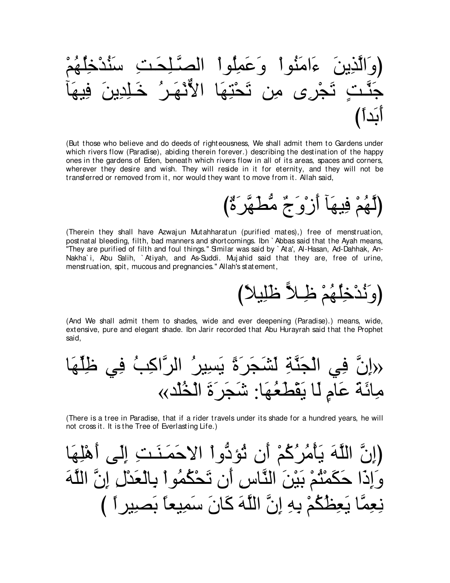∇ユ⊥ヰ⊥ヤ⌒カ∇ギ⊥レ∠シ ⌒ろ⇒∠エ⌒ヤ⇒zダャや ∇やヲ⊥ヤ⌒ヨ∠ハ∠ヱ ∇やヲ⊥レ∠ョや∠¬ ∠リΑ⌒グzャや∠ヱぴ べ∠ヰΒ⌒プ ∠リΑ⌒ギ⌒ヤ⇒∠カ ⊥ゲ⇒∠ヰ∇ルxΙや ゅ∠ヰ⌒わ∇エ∠ゎ リ⌒ョ ン⌒ゲ∇イ∠ゎ ∃ろ⇒zレ∠ィ び⇔やギ∠よ∠ぺ

(But those who believe and do deeds of righteousness, We shall admit them to Gardens under which rivers flow (Paradise), abiding therein forever.) describing the destination of the happy ones in the gardens of Eden, beneath which rivers flow in all of its areas, spaces and corners, wherever they desire and wish. They will reside in it for eternity, and they will not be transferred or removed from it, nor would they want to move from it. Allah said,

(لَهُمْ فِيهَآ أَرْوَجٌ مُّطَهَّرَةٌ)

(Therein they shall have Azwajun Mutahharatun (purified mates),) free of menstruation, postnatal bleeding, filth, bad manners and shortcomings. Ibn ` Abbas said that the Ayah means, "They are purified of filth and foul things." Similar was said by `Ata', Al-Hasan, Ad-Dahhak, An-Nakha` i, Abu Salih, ` Atiyah, and As-Suddi. Muj ahid said that they are, free of urine, menstruation, spit, mucous and pregnancies." Allah's statement,

(وَثُدْخِلُهُمْ ظِلاً ظَلِيلاً)

(And We shall admit them to shades, wide and ever deepening (Paradise).) means, wide, extensive, pure and elegant shade. Ibn Jarir recorded that Abu Hurayrah said that the Prophet said,

ゅ∠ヰあヤ⌒ニ ヶ⌒プ ⊥ょ⌒ミやzゲャや ⊥ゲΒ⌒ジ∠Α ⇔り∠ゲ∠イ∠ゼ∠ャ ⌒るzレ∠イ∇ャや ヶ⌒プ zラ⌒ま» «ギ∇ヤ⊥ガ∇ャや ∠り∠ゲ∠イ∠セ :ゅ∠ヰ⊥バ∠ト∇ボ∠Α ゅ∠ャ ∠ハ∃ュゅ ∠る∠もゅ⌒ョ

(There is a tree in Paradise, that if a rider travels under its shade for a hundred years, he will not cross it. It is the Tree of Everlasting Life.)

ゅ∠ヰ⌒ヤ∇ワ∠ぺ ヴ∠ャ⌒ま ⌒ろ⇒∠レ⇒∠ヨ∠ェΙや ∇やヱぁキぽ⊥ゎ ラ∠ぺ ∇ユ⊥ミ⊥ゲ⊥ョ∇ほ∠Α ∠ヮzヤャや zラ⌒まぴ ∠ヮzヤャや zラ⌒ま ⌒メ∇ギ∠バ∇ャゅ⌒よ ∇やヲ⊥ヨ⊥ム∇エ∠ゎ ラ∠ぺ ⌒サゅzレャや ∠リ∇Β∠よ ∇ユ⊥わ∇ヨ∠ム∠ェ や∠ク⌒ま∠ヱ び ⇔やゲΒ⌒ダ∠よ ⇔ゅバΒ⌒ヨ∠シ ∠ラゅ∠ミ ∠ヮzヤャや zラ⌒ま ⌒ヮ⌒よ ∇ユ⊥ム⊥ヌ⌒バ∠Α ゅzヨ⌒バ⌒ル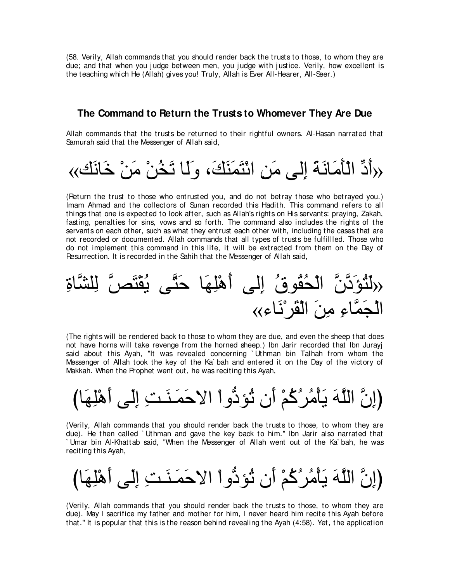(58. Verily, Allah commands that you should render back the trusts to those, to whom they are due; and that when you judge between men, you judge with justice. Verily, how excellent is the teaching which He (Allah) gives you! Truly, Allah is Ever All-Hearer, All-Seer.)

#### **The Command to Return the Trusts to Whomever They Are Due**

Allah commands that the trusts be returned to their rightful owners. Al-Hasan narrated that Samurah said that the Messenger of Allah said,

«マ∠ルゅ∠カ ∇リ∠ョ ∇リ⊥ガ∠ゎ ゅ∠ャ∠ヱ ∩∠マ∠レ∠ヨ∠わ∇もや ⌒リ∠ョ ヴャ⌒ま ∠る∠ルゅ∠ョ∠ほ∇ャや あキ∠ぺ»

(Return the trust to those who entrusted you, and do not betray those who betrayed you.) Imam Ahmad and the collectors of Sunan recorded this Hadith. This command refers to all things that one is expected to look after, such as Allah's rights on His servants: praying, Zakah, fasting, penalties for sins, vows and so forth. The command also includes the rights of the servants on each other, such as what they entrust each other with, including the cases that are not recorded or documented. Allah commands that all types of trusts be fulfillled. Those who do not implement this command in this life, it will be extracted from them on the Day of Resurrection. It is recorded in the Sahih that the Messenger of Allah said,



(The rights will be rendered back to those to whom they are due, and even the sheep that does not have horns will take revenge from the horned sheep.) Ibn Jarir recorded that Ibn Jurayj said about this Ayah, "It was revealed concerning ` Uthman bin Talhah from whom the Messenger of Allah took the key of the Ka` bah and entered it on the Day of the victory of Makkah. When the Prophet went out, he was reciting this Ayah,

(إِنَّ اللَّهَ يَأْمُرُكُمْ أَن نُوَدُّو اللاحَمَـذَـتِ إِلَـى أَهْلِهَا)

(Verily, Allah commands that you should render back the trusts to those, to whom they are due). He then called ` Uthman and gave the key back to him.'' Ibn Jarir also narrated that ` Umar bin Al-Khattab said, "When the Messenger of Allah went out of the Ka` bah, he was reciting this Ayah,

(إِنَّ اللَّهَ يَأْمُرُكُمْ أَن ثُوَدُّو! الاحَمَـذَـتِ إِلَى أَهْلِهَا)

(Verily, Allah commands that you should render back the trusts to those, to whom they are due). May I sacrifice my father and mother for him, I never heard him recite this Ayah before that.'' It is popular that this is the reason behind revealing the Ayah (4:58). Yet, the application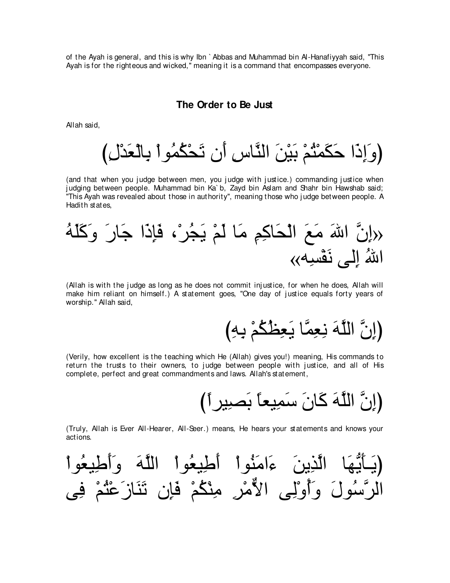of the Ayah is general, and this is why Ibn ` Abbas and Muhammad bin Al-Hanafiyyah said, "This Ayah is for the righteous and wicked,'' meaning it is a command that encompasses everyone.

#### **The Order to Be Just**

Allah said,

(وَإِذَا حَكَمْتُمْ بَيْنَ النَّاسِ أَن تَحْكُمُواْ بِالْعَدْلِ

(and that when you judge between men, you judge with justice.) commanding justice when j udging between people. Muhammad bin Ka` b, Zayd bin Aslam and Shahr bin Hawshab said; "This Ayah was revealed about those in authority'', meaning those who j udge between people. A Hadith states,



(Allah is with the judge as long as he does not commit injustice, for when he does, Allah will make him reliant on himself.) A statement goes, "One day of justice equals forty years of worship.'' Allah said,

(إِنَّ اللَّهَ نِعِمَّا يَعِظُكُمْ بِهِ)

(Verily, how excellent is the teaching which He (Allah) gives you!) meaning, His commands to return the trusts to their owners, to judge between people with justice, and all of His complete, perfect and great commandments and laws. Allah's statement,

(إِنَّ اللَّهَ كَانَ سَمِيعاً بَصبِيرِ أ

(Truly, Allah is Ever All-Hearer, All-Seer.) means, He hears your statements and knows your actions.

∇やヲ⊥バΒ⌒デ∠ぺ∠ヱ ∠ヮzヤャや ∇やヲ⊥バΒ⌒デ∠ぺ ∇やヲ⊥レ∠ョや∠¬ ∠リΑ⌒グzャや ゅ∠ヰぁΑ∠ほ⇒∠Αぴ ヴ⌒プ ∇ユ⊥わ∇ハ∠コゅ∠レ∠ゎ ラ⌒み∠プ ∇ユ⊥ム∇レ⌒ョ ⌒ゲ∇ョxΙや ヴ⌒ャ∇ヱ⊥ぺ∠ヱ ∠メヲ⊥シzゲャや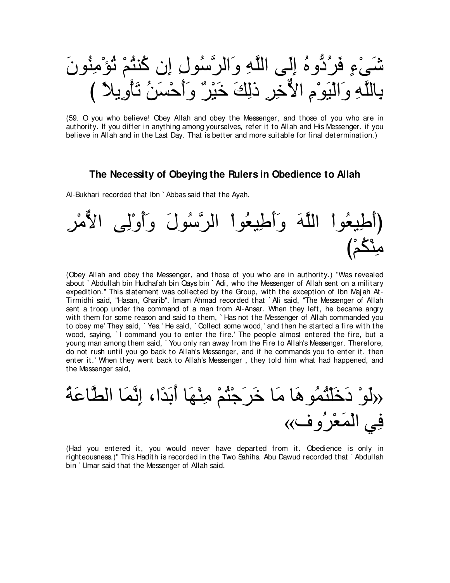شَيْءٍ فَرُدُّوهُ إِلَى اللَّهِ وَالرَّسُولِ إِن كُنثُمْ ثُؤْمِنُونَ بِاللَّهِ وَالْيَوْمِ الأَّخِرِ ذَلِكَ خَيْرٌ ۚ وَأَحْسَنُ تَأْوِيلاً ﴾

(59. O you who believe! Obey Allah and obey the Messenger, and those of you who are in authority. If you differ in anything among yourselves, refer it to Allah and His Messenger, if you believe in Allah and in the Last Day. That is better and more suitable for final determination.)

#### **The Necessity of Obeying the Rulers in Obedience to Allah**

Al-Bukhari recorded that Ibn ` Abbas said that the Ayah,



(Obey Allah and obey the Messenger, and those of you who are in authority.) "Was revealed about ` Abdullah bin Hudhafah bin Qays bin ` Adi, who the Messenger of Allah sent on a military expedition.'' This statement was collected by the Group, with the exception of Ibn Maj ah At-Tirmidhi said, "Hasan, Gharib''. Imam Ahmad recorded that ` Ali said, "The Messenger of Allah sent a troop under the command of a man from Al-Ansar. When they left, he became angry with them for some reason and said to them, ` Has not the Messenger of Allah commanded you to obey me' They said, ` Yes.' He said, ` Collect some wood,' and then he started a fire with the wood, saying, `I command you to enter the fire.' The people almost entered the fire, but a young man among them said, ` You only ran away from the Fire to Allah's Messenger. Therefore, do not rush until you go back to Allah's Messenger, and if he commands you to enter it, then enter it.' When they went back to Allah's Messenger , they told him what had happened, and the Messenger said,



(Had you entered it, you would never have departed from it. Obedience is only in righteousness.)'' This Hadith is recorded in the Two Sahihs. Abu Dawud recorded that ` Abdullah bin ` Umar said that the Messenger of Allah said,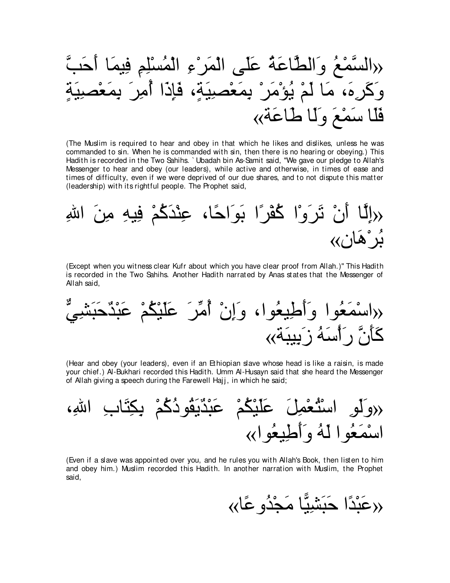حدالسَّمْعُ وَالطَّاعَةُ عَلَى المَرْءِ المُسْلِمِ فِيمَانِ وَكَرِهَ، مَا لَمْ يُؤْمَرْ بِمَعْصِيَةٍ، فَإِذَا أَمِر قلّا سَمْعَ وَلّا طَاعَةٍ››

(The Muslim is required to hear and obey in that which he likes and dislikes, unless he was commanded to sin. When he is commanded with sin, then there is no hearing or obeying.) This Hadith is recorded in the Two Sahihs. ` Ubadah bin As-Samit said, "We gave our pledge to Allah's Messenger to hear and obey (our leaders), while active and otherwise, in times of ease and times of difficulty, even if we were deprived of our due shares, and to not dispute this matter (leadership) with its rightful people. The Prophet said,

⌒ぶや ∠リ⌒ョ ⌒ヮΒ⌒プ ∇ユ⊥ミ∠ギ∇レ⌒ハ ∩ゅ⇔ェや∠ヲ∠よ や⇔ゲ∇ヘ⊥ミ や∇ヱ∠ゲ∠ゎ ∇ラ∠ぺ ゅzャ⌒ま» «ラゅ∠ワ∇ゲ⊥よ

(Except when you witness clear Kufr about which you have clear proof from Allah.)'' This Hadith is recorded in the Two Sahihs. Another Hadith narrated by Anas states that the Messenger of Allah said,

xヶ⌒ゼ∠ら∠ェ∀ギ∇ら∠ハ ∇ユ⊥ム∇Β∠ヤ∠ハ ∠ゲあョ⊥ぺ ∇ラ⌒ま∠ヱ ∩やヲ⊥バΒ⌒デ∠ぺ∠ヱ やヲ⊥バ∠ヨ∇シや» «る∠らΒ⌒よ∠コ ⊥ヮ∠シ∇ぺ∠ケ zラ∠ほ∠ミ

(Hear and obey (your leaders), even if an Ethiopian slave whose head is like a raisin, is made your chief.) Al-Bukhari recorded this Hadith. Umm Al-Husayn said that she heard the Messenger of Allah giving a speech during the Farewell Hajj, in which he said;

∩⌒ぶや ⌒ゆゅ∠わ⌒ム⌒よ ∇ユ⊥ミ⊥キヲ⊥ボ∠Α∀ギ∇ら∠ハ ∇ユ⊥ム∇Β∠ヤ∠ハ ∠モ⌒ヨ∇バ⊥わ∇シや ⌒ヲ∠ャ∠ヱ» «やヲ⊥バΒ⌒デ∠ぺ∠ヱ ⊥ヮ∠ャ やヲ⊥バ∠ヨ∇シや

(Even if a slave was appointed over you, and he rules you with Allah's Book, then listen to him and obey him.) Muslim recorded this Hadith. In another narration with Muslim, the Prophet said,

«ゅ⇔ハヱ⊥ギ∇イ∠ョ ゅ6Β⌒ゼ∠ら∠ェ や⇔ギ∇ら∠ハ»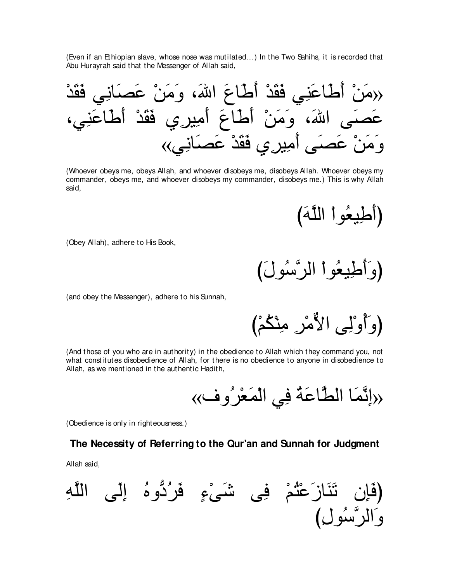(Even if an Ethiopian slave, whose nose was mutilated...) In the Two Sahihs, it is recorded that Abu Hurayrah said that the Messenger of Allah said,

∇ギ∠ボ∠プ ヶ⌒ルゅ∠ダ∠ハ ∇リ∠ョ∠ヱ ∩∠ぶや ∠ネゅ∠デ∠ぺ ∇ギ∠ボ∠プ ヶ⌒レ∠ハゅ∠デ∠ぺ ∇リ∠ョ» ∩ヶ⌒レ∠ハゅ∠デ∠ぺ ∇ギ∠ボ∠プ ヵ⌒ゲΒ⌒ョ∠ぺ ∠ネゅ∠デ∠ぺ ∇リ∠ョ∠ヱ ∩∠ぶや ヴ∠ダ∠ハ «ヶ⌒ルゅ∠ダ∠ハ ∇ギ∠ボ∠プ ヵ⌒ゲΒ⌒ョ∠ぺ ヴ∠ダ∠ハ ∇リ∠ョ∠ヱ

(Whoever obeys me, obeys Allah, and whoever disobeys me, disobeys Allah. Whoever obeys my commander, obeys me, and whoever disobeys my commander, disobeys me.) This is why Allah said,

(أطِيعُو<sup>1</sup> اللَّهَ)

(Obey Allah), adhere to His Book,

(and obey the Messenger), adhere to his Sunnah,

(And those of you who are in authority) in the obedience to Allah which they command you, not what constitutes disobedience of Allah, for there is no obedience to anyone in disobedience to Allah, as we mentioned in the authentic Hadith,

«إِنَّمَا الطَّاعَةُ فِي الْمَعْرُوف»)

(Obedience is only in righteousness.)

## **The Necessity of Referring to the Qur'an and Sunnah for Judgment**

Allah said,

⌒ヮzヤャや ヴ∠ャ⌒ま ⊥ロヱぁキ⊥ゲ∠プ ∃¬∇ヴ∠セ ヴ⌒プ ∇ユ⊥わ∇ハ∠コゅ∠レ∠ゎ ラ⌒み∠プぴ び⌒メヲ⊥シzゲャや∠ヱ

(وَأَوْلِي الأَمْرِ مِنْكُمْ)

(وَأَطْيِعُوا الرَّسُولَ)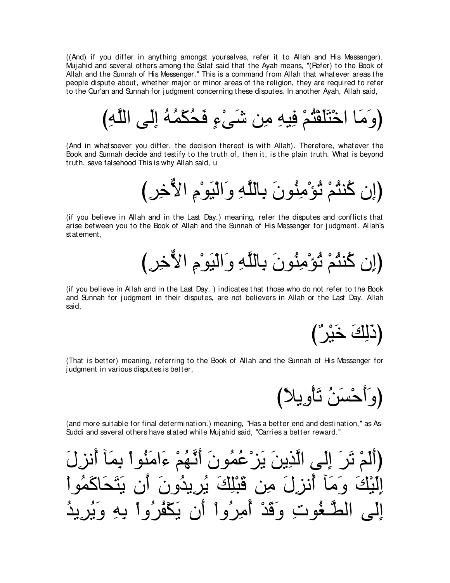((And) if you differ in anything amongst yourselves, refer it to Allah and His Messenger). Muj ahid and several others among the Salaf said that the Ayah means, "(Refer) to the Book of Allah and the Sunnah of His Messenger.'' This is a command from Allah that whatever areas the people dispute about, whether maj or or minor areas of the religion, they are required to refer to the Qur'an and Sunnah for j udgment concerning these disputes. In another Ayah, Allah said,

び⌒ヮzヤャや ヴ∠ャ⌒ま ⊥ヮ⊥ヨ∇ム⊥エ∠プ ∃¬∇ヴ∠セ リ⌒ョ ⌒ヮΒ⌒プ ∇ユ⊥わ∇ヘ∠ヤ∠わ∇カや ゅ∠ョ∠ヱぴ

(And in whatsoever you differ, the decision thereof is with Allah). Therefore, whatever the Book and Sunnah decide and testify to the truth of, then it, is the plain truth. What is beyond truth, save falsehood This is why Allah said, u

び⌒ゲ⌒カxΙや ⌒ュ∇ヲ∠Β∇ャや∠ヱ ⌒ヮzヤャゅ⌒よ ∠ラヲ⊥レ⌒ョ∇ぽ⊥ゎ ∇ユ⊥わレ⊥ミ ラ⌒まぴ

(if you believe in Allah and in the Last Day.) meaning, refer the disputes and conflicts that arise between you to the Book of Allah and the Sunnah of His Messenger for j udgment. Allah's statement,

び⌒ゲ⌒カxΙや ⌒ュ∇ヲ∠Β∇ャや∠ヱ ⌒ヮzヤャゅ⌒よ ∠ラヲ⊥レ⌒ョ∇ぽ⊥ゎ ∇ユ⊥わレ⊥ミ ラ⌒まぴ

(if you believe in Allah and in the Last Day. ) indicates that those who do not refer to the Book and Sunnah for judgment in their disputes, are not believers in Allah or the Last Day. Allah said,

(ذَلِكَ خَيْرٌ ٌ)

(That is better) meaning, referring to the Book of Allah and the Sunnah of His Messenger for j udgment in various disputes is better,

(وَ أَحْسَنُ نَأْوِيلاً)

(and more suitable for final determination.) meaning, "Has a better end and destination,'' as As-Suddi and several others have stated while Muj ahid said, "Carries a better reward.''

(اَلَمْ تَرَ إِلَى اللَّذِينَ يَزْعُمُونَ اَنَّهُمْ ءَامَنُواْ بِمَأَ أَنز*ِ*لَ اِلَيْكَ وَمَا أَنزِلَ مِنٍ قَبْلِكَ يُرِيدُونَ أَنِ يَتَحَاكَ اِلّٰہ ِ الطَّـُغُونِ وَقَدْ أُمِرُواْ أَن يَكْفُرُواْ بِهِ وَيُر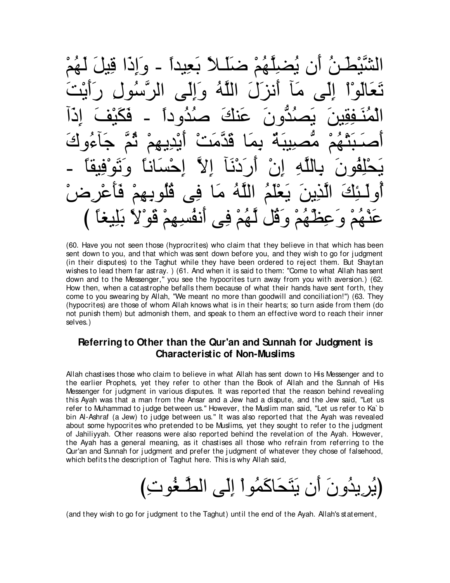يَضبِلّهَمْ ضَلَـلاً يَعنداً تَعَالُو ٗا إِلَى مَا أَنزَلَ اللَّهُ وَإِلَى الرَّسُولِ رَأَيْتَ الْمُذَفِقِينَ يَصُدَّونَ عَنكَ صُدُوداً ـ فَكَيْفَ إِذَا أَصَـٰـَبَدَّهُمْ مُّصنِيبَةٌ بِمَا قَدَّمَتْ أَيْدِيهِمْ ثُمَّ جَاءُوكَ بَحْلِفُونَ بِاللَّهِ إِنْ أَرَدْنَا إِلاَّ إِحْسَاناً وَنَوْفِيقاً ـ ٱولَـئِكَ الَّذِينَ يَعْلَمُ اللَّهُ مَا فِي قُلُوبِهِمْ فَأَعْرِضْ ِّيُمْ و**َقْل لَيُمْ فِي أَنفُسِيمْ قَو**ْلأ

(60. Have you not seen those (hyprocrites) who claim that they believe in that which has been sent down to you, and that which was sent down before you, and they wish to go for j udgment (in their disputes) to the Taghut while they have been ordered to rej ect them. But Shaytan wishes to lead them far astray. ) (61. And when it is said to them: "Come to what Allah has sent down and to the Messenger,'' you see the hypocrites turn away from you with aversion.) (62. How then, when a catastrophe befalls them because of what their hands have sent forth, they come to you swearing by Allah, "We meant no more than goodwill and conciliation!'') (63. They (hypocrites) are those of whom Allah knows what is in their hearts; so turn aside from them (do not punish them) but admonish them, and speak to them an effective word to reach their inner selves.)

## **Referring to Other than the Qur'an and Sunnah for Judgment is Characteristic of Non-Muslims**

Allah chastises those who claim to believe in what Allah has sent down to His Messenger and to the earlier Prophets, yet they refer to other than the Book of Allah and the Sunnah of His Messenger for judgment in various disputes. It was reported that the reason behind revealing this Ayah was that a man from the Ansar and a Jew had a dispute, and the Jew said, "Let us refer to Muhammad to j udge between us.'' However, the Muslim man said, "Let us refer to Ka` b bin Al-Ashraf (a Jew) to judge between us." It was also reported that the Ayah was revealed about some hypocrites who pretended to be Muslims, yet they sought to refer to the j udgment of Jahiliyyah. Other reasons were also reported behind the revelation of the Ayah. However, the Ayah has a general meaning, as it chastises all those who refrain from referring to the Qur'an and Sunnah for j udgment and prefer the j udgment of whatever they chose of falsehood, which befits the description of Taghut here. This is why Allah said,

جُو نَ أَن بَتَحَاكَمُو أَ إِلَي الطَّـُّو ت)

(and they wish to go for j udgment to the Taghut) until the end of the Ayah. Allah's statement,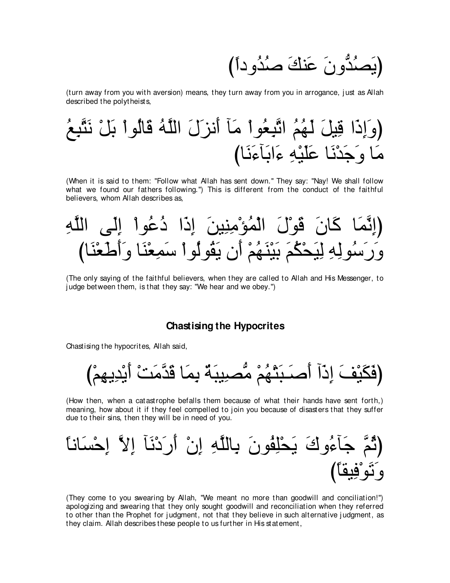دٌو رَ، عَنكَ صَدُوداً)

(turn away from you with aversion) means, they turn away from you in arrogance, j ust as Allah described the polytheists,

(وَ إِذَا قِيلَ لَهُمُ اتَّيِغُوا مَاَ أَنزَلَ الَلَّهُ قَالُوا بَلٌ نَتَّيِعُ
$$
\widehat{\mathbf{z}}
$$
مَا وَجَدُنَا عَلَيُهِ عَابَاَعَنَا)

(When it is said to them: "Follow what Allah has sent down.'' They say: "Nay! We shall follow what we found our fathers following.'') This is different from the conduct of the faithful believers, whom Allah describes as,



(The only saying of the faithful believers, when they are called to Allah and His Messenger, to judge between them, is that they say: "We hear and we obey.")

#### **Chastising the Hypocrites**

Chastising the hypocrites, Allah said,

び∇ユ⌒ヰΑ⌒ギ∇Α∠ぺ ∇ろ∠ョzギ∠ホ ゅ∠ヨ⌒よ ∀る∠らΒ⌒ダぁョ ∇ユ⊥ヰ∇わ∠ら⇒∠タ∠ぺ へ∠ク⌒ま ∠ブ∇Β∠ム∠プぴ

(How then, when a catastrophe befalls them because of what their hands have sent forth,) meaning, how about it if they feel compelled to join you because of disasters that they suffer due to their sins, then they will be in need of you.

⇔ゅルゅ∠ジ∇ェ⌒ま zΙ⌒ま べ∠ル∇キ∠ケ∠ぺ ∇ラ⌒ま ⌒ヮzヤャゅ⌒よ ∠ラヲ⊥ヘ⌒ヤ∇エ∠Α ∠ポヱ⊥¬べ∠ィ zユ⊥をぴ び⇔ゅボΒ⌒プ∇ヲ∠ゎ∠ヱ

(They come to you swearing by Allah, "We meant no more than goodwill and conciliation!'') apologizing and swearing that they only sought goodwill and reconciliation when they referred to other than the Prophet for j udgment, not that they believe in such alternative j udgment, as they claim. Allah describes these people to us further in His statement,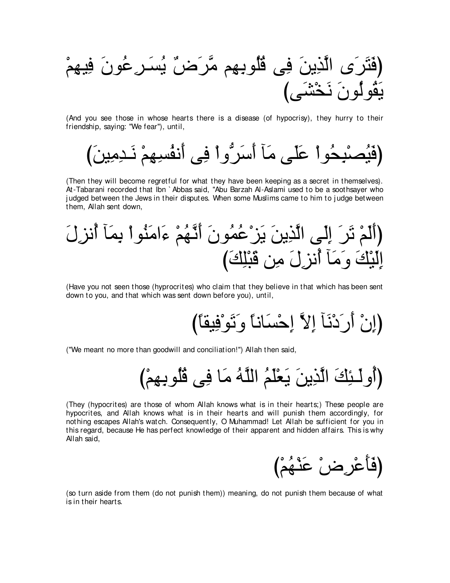∇ユ⌒ヰΒ⌒プ ∠ラヲ⊥ハ⌒ゲ⇒∠ジ⊥Α ∀チ∠ゲzョ ユ⌒ヰ⌒よヲ⊥ヤ⊥ホ ヴ⌒プ ∠リΑ⌒グzャや ン∠ゲ∠わ∠プぴ びヴ∠ゼ∇ガ∠ル ∠ラヲ⊥ャヲ⊥ボ∠Α

(And you see those in whose hearts there is a disease (of hypocrisy), they hurry to their friendship, saying: "We fear''), until,

び∠リΒ⌒ョ⌒ギ⇒∠ル ∇ユ⌒ヰ⌒ジ⊥ヘル∠ぺ ヴ⌒プ ∇やヱぁゲ∠シ∠ぺ べ∠ョ ヴ∠ヤ∠ハ ∇やヲ⊥エ⌒ら∇ダ⊥Β∠プぴ

(Then they will become regretful for what they have been keeping as a secret in themselves). At-Tabarani recorded that Ibn ` Abbas said, "Abu Barzah Al-Aslami used to be a soothsayer who judged between the Jews in their disputes. When some Muslims came to him to judge between them, Allah sent down,

∠メ⌒ゴル⊥ぺ べ∠ヨ⌒よ ∇やヲ⊥レ∠ョや∠¬ ∇ユ⊥ヰzル∠ぺ ∠ラヲ⊥ヨ⊥ハ∇ゴ∠Α ∠リΑ⌒グzャや ヴ∠ャ⌒ま ∠ゲ∠ゎ ∇ユ∠ャ∠ぺぴ び∠マ⌒ヤ∇ら∠ホ リ⌒ョ ∠メ⌒ゴル⊥ぺ べ∠ョ∠ヱ ∠マ∇Β∠ャ⌒ま

(Have you not seen those (hyprocrites) who claim that they believe in that which has been sent down to you, and that which was sent down before you), until,

び⇔ゅボΒ⌒プ∇ヲ∠ゎ∠ヱ ⇔ゅルゅ∠ジ∇ェ⌒ま zΙ⌒ま べ∠ル∇キ∠ケ∠ぺ ∇ラ⌒まぴ

("We meant no more than goodwill and conciliation!'') Allah then said,

び∇ユ⌒ヰ⌒よヲ⊥ヤ⊥ホ ヴ⌒プ ゅ∠ョ ⊥ヮzヤャや ⊥ユ∠ヤ∇バ∠Α ∠リΑ⌒グzャや ∠マ⌒ゃ⇒∠ャヱ⊥ぺぴ

(They (hypocrites) are those of whom Allah knows what is in their hearts;) These people are hypocrites, and Allah knows what is in their hearts and will punish them accordingly, for nothing escapes Allah's watch. Consequently, O Muhammad! Let Allah be sufficient for you in this regard, because He has perfect knowledge of their apparent and hidden affairs. This is why Allah said,

(فَأَعْرِضْ عَذَيْمْ)

(so turn aside from them (do not punish them)) meaning, do not punish them because of what is in their hearts.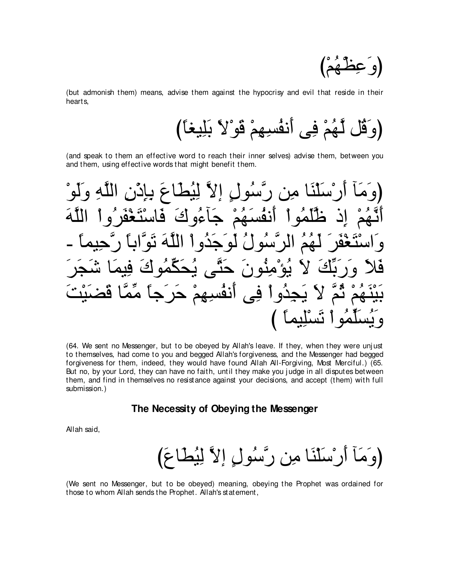(but admonish them) means, advise them against the hypocrisy and evil that reside in their hearts,

(and speak to them an effective word to reach their inner selves) advise them, between you and them, using effective words that might benefit them.

اءَو آگ <u>ہ</u> انقسم انقسيهم حر دُو آ فِي

(64. We sent no Messenger, but to be obeyed by Allah's leave. If they, when they were unjust to themselves, had come to you and begged Allah's forgiveness, and the Messenger had begged forgiveness for them, indeed, they would have found Allah All-Forgiving, Most Merciful.) (65. But no, by your Lord, they can have no faith, until they make you judge in all disputes between them, and find in themselves no resistance against your decisions, and accept (them) with full submission.)

### The Necessity of Obeying the Messenger

Allah said,

(We sent no Messenger, but to be obeyed) meaning, obeying the Prophet was ordained for those to whom Allah sends the Prophet. Allah's statement,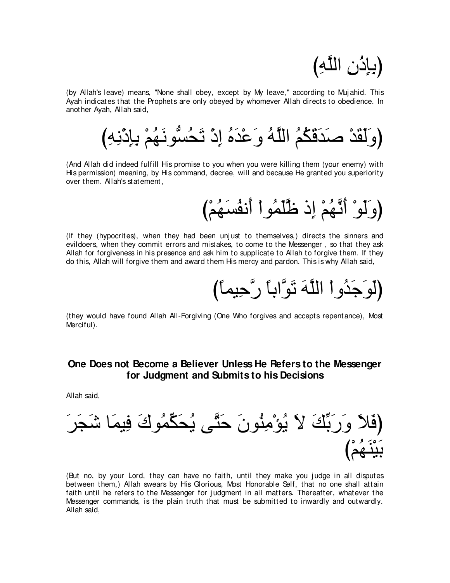(پِاِدُنِ اللَّهِ**)** 

(by Allah's leave) means, "None shall obey, except by My leave," according to Mujahid. This Ayah indicates that the Prophets are only obeyed by whomever Allah directs to obedience. In another Ayah, Allah said,

(وَلَقَدْ صَدَقَكُمُ اللَّهُ وَعْدَهُ إِذْ تَحُسُّونَهُمْ بِإِدْنِهِ)

(And Allah did indeed fulfill His promise to you when you were killing them (your enemy) with His permission) meaning, by His command, decree, will and because He granted you superiority over them. Allah's statement,

(وَلَوْ أَنَّهُمْ إِذْ ظُلِّمُواْ أَنْفُسَهُمْ)

(If they (hypocrites), when they had been unj ust to themselves,) directs the sinners and evildoers, when they commit errors and mistakes, to come to the Messenger , so that they ask Allah for forgiveness in his presence and ask him to supplicate to Allah to forgive them. If they do this, Allah will forgive them and award them His mercy and pardon. This is why Allah said,

び⇔ゅヨΒ⌒ェzケ ⇔ゅよやzヲ∠ゎ ∠ヮzヤャや ∇やヱ⊥ギ∠ィ∠ヲ∠ャぴ

(they would have found Allah All-Forgiving (One Who forgives and accepts repentance), Most Merciful).

## **One Does not Become a Believer Unless He Refers to the Messenger for Judgment and Submits to his Decisions**

Allah said,



(But no, by your Lord, they can have no faith, until they make you j udge in all disputes between them,) Allah swears by His Glorious, Most Honorable Self, that no one shall attain faith until he refers to the Messenger for judgment in all matters. Thereafter, whatever the Messenger commands, is the plain truth that must be submitted to inwardly and outwardly. Allah said,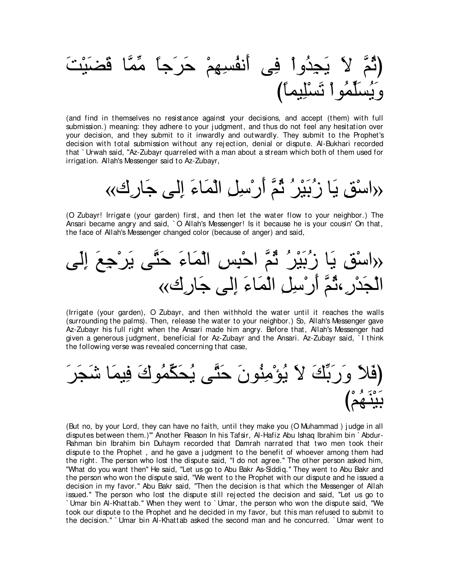∠ろ∇Β∠ツ∠ホ ゅzヨあョ ⇔ゅィ∠ゲ∠ェ ∇ユ⌒ヰ⌒ジ⊥ヘル∠ぺ ヴ⌒プ ∇やヱ⊥ギ⌒イ∠Α ∠Ι zユ⊥をぴ び⇔ゅヨΒ⌒ヤ∇ジ∠ゎ ∇やヲ⊥ヨあヤ∠ジ⊥Α∠ヱ

(and find in themselves no resistance against your decisions, and accept (them) with full submission.) meaning: they adhere to your j udgment, and thus do not feel any hesitation over your decision, and they submit to it inwardly and outwardly. They submit to the Prophet's decision with total submission without any rej ection, denial or dispute. Al-Bukhari recorded that ` Urwah said, "Az-Zubayr quarreled with a man about a stream which both of them used for irrigation. Allah's Messenger said to Az-Zubayr,

## «اسْقِ يَا زُبَيْرُ ثُمَّ أَرْسِلِ الْمَاءَ إِلَى جَارِك»

(O Zubayr! Irrigate (your garden) first, and then let the water flow to your neighbor.) The Ansari became angry and said, ` O Allah's Messenger! Is it because he is your cousin' On that, the face of Allah's Messenger changed color (because of anger) and said,

ヴ∠ャ⌒ま ∠ノ⌒ィ∇ゲ∠Α ヴzわ∠ェ ∠¬ゅ∠ヨ∇ャや ⌒ザ⌒ら∇ェや zユ⊥を ⊥ゲ∇Β∠よ⊥コ ゅ∠Α ⌒ペ∇シや» «ポ⌒ケゅ∠ィ ヴャ⌒ま ∠¬ゅ∠ヨ∇ャや ⌒モ⌒シ∇ケ∠ぺ zユ⊥を∩⌒ケ∇ギ∠イ∇ャや

(Irrigate (your garden), O Zubayr, and then withhold the water until it reaches the walls (surrounding the palms). Then, release the water to your neighbor.) So, Allah's Messenger gave Az-Zubayr his full right when the Ansari made him angry. Before that, Allah's Messenger had given a generous j udgment, beneficial for Az-Zubayr and the Ansari. Az-Zubayr said, ` I think the following verse was revealed concerning that case,



(But no, by your Lord, they can have no faith, until they make you (O Muhammad ) j udge in all disputes between them.)''' Another Reason In his Tafsir, Al-Hafiz Abu Ishaq Ibrahim bin ` Abdur-Rahman bin Ibrahim bin Duhaym recorded that Damrah narrated that two men took their dispute to the Prophet, and he gave a judgment to the benefit of whoever among them had the right. The person who lost the dispute said, "I do not agree.'' The other person asked him, "What do you want then" He said, "Let us go to Abu Bakr As-Siddiq." They went to Abu Bakr and the person who won the dispute said, "We went to the Prophet with our dispute and he issued a decision in my favor.'' Abu Bakr said, "Then the decision is that which the Messenger of Allah issued.'' The person who lost the dispute still rej ected the decision and said, "Let us go to ` Umar bin Al-Khattab.'' When they went to ` Umar, the person who won the dispute said, "We took our dispute to the Prophet and he decided in my favor, but this man refused to submit to the decision.'' ` Umar bin Al-Khattab asked the second man and he concurred. ` Umar went to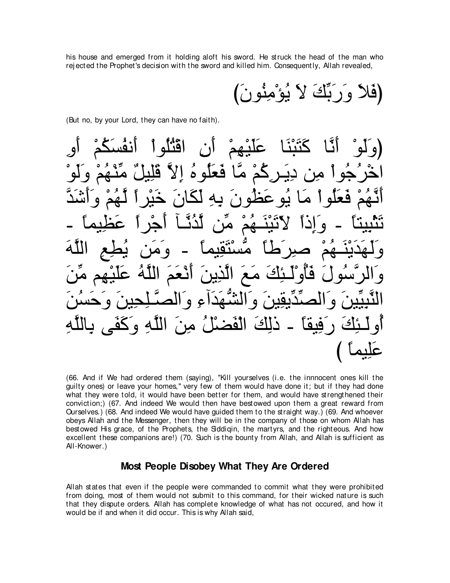his house and emerged from it holding aloft his sword. He struck the head of the man who rejected the Prophet's decision with the sword and killed him. Consequently, Allah revealed,

(فَلاَ وَرَبِّكَ لاَ يُؤْمِنُونَ)

(But no, by your Lord, they can have no faith).

(66. And if We had ordered them (saying), "Kill yourselves (i.e. the innnocent ones kill the quilty ones) or leave your homes." very few of them would have done it; but if they had done what they were told, it would have been better for them, and would have strengthened their conviction;) (67. And indeed We would then have bestowed upon them a great reward from Ourselves.) (68. And indeed We would have guided them to the straight way.) (69. And whoever obeys Allah and the Messenger, then they will be in the company of those on whom Allah has bestowed His grace, of the Prophets, the Sddigin, the martyrs, and the righteous. And how excellent these companions are!) (70. Such is the bounty from Allah, and Allah is sufficient as All-Knower.)

## Most People Disobey What They Are Ordered

Allah states that even if the people were commanded to commit what they were prohibited from doing, most of them would not submit to this command, for their wicked nature is such that they dispute orders. Allah has complete knowledge of what has not occured, and how it would be if and when it did occur. This is why Allah said,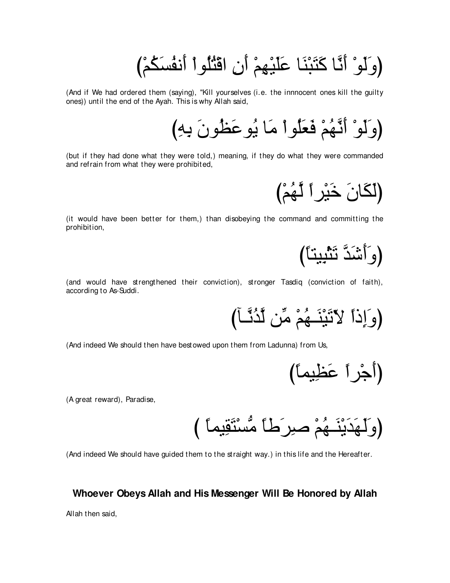(وَلَوْ أَنَّا كَتَبْنَا عَلَيْهِمْ أَنِ اقْتُلُواْ أَنفُسَكُمْ)

(And if We had ordered them (saying), "Kill yourselves (i.e. the innnocent ones kill the guilty ones)) until the end of the Ayah. This is why Allah said,

(but if they had done what they were told,) meaning, if they do what they were commanded and refrain from what they were prohibited,

(لَكَانَ خَيْرٍ أَ لَّهُمْ)

(it would have been better for them,) than disobeying the command and committing the prohibition,

(وَأَشَدَّ نَتَّبِينَا)

(and would have strengthened their conviction), stronger Tasdiq (conviction of faith), according to As-Suddi.

(وَإِذَاً لاَتَّبْنَـهُمْ مِّن لَّذُنَّـاً)

(And indeed We should then have bestowed upon them from Ladunna) from Us,

(أَجْرٍ أَ عَظِيماً)

(A great reward), Paradise,

هَدَيْنَـهُمْ صِرِ َطَأَ مُّسْتَقِيماً )

(And indeed We should have quided them to the straight way.) in this life and the Hereafter.

#### Whoever Obeys Allah and His Messenger Will Be Honored by Allah

Allah then said,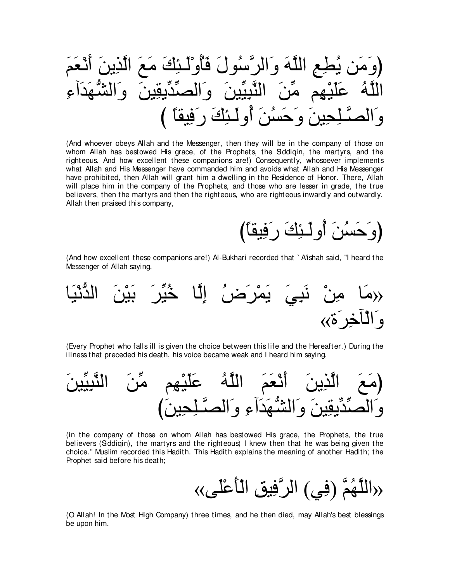∠ユ∠バ∇ル∠ぺ ∠リΑ⌒グzャや ∠ノ∠ョ ∠マ⌒ゃ⇒∠ャ∇ヱ⊥ほ∠プ ∠メヲ⊥シzゲャや∠ヱ ∠ヮzヤャや ⌒ノ⌒ト⊥Α リ∠ョ∠ヱぴ ⌒¬へ∠ギ∠ヰぁゼャや∠ヱ ∠リΒ⌒ボΑあギあダャや∠ヱ ∠リΒあΒ⌒らzレャや ∠リあョ ユ⌒ヰ∇Β∠ヤ∠ハ ⊥ヮzヤャや び ⇔ゅボΒ⌒プ∠ケ ∠マ⌒ゃ⇒∠ャヱ⊥ぺ ∠リ⊥ジ∠ェ∠ヱ ∠リΒ⌒エ⌒ヤ⇒zダャや∠ヱ

(And whoever obeys Allah and the Messenger, then they will be in the company of those on whom Allah has bestowed His grace, of the Prophets, the Siddiqin, the martyrs, and the righteous. And how excellent these companions are!) Consequently, whosoever implements what Allah and His Messenger have commanded him and avoids what Allah and His Messenger have prohibited, then Allah will grant him a dwelling in the Residence of Honor. There, Allah will place him in the company of the Prophets, and those who are lesser in grade, the true believers, then the martyrs and then the righteous, who are righteous inwardly and outwardly. Allah then praised this company,

(وَكَسْنَ أَولَكِكَ رَفِيقاً)

(And how excellent these companions are!) Al-Bukhari recorded that ` A'ishah said, "I heard the Messenger of Allah saying,



(Every Prophet who falls ill is given the choice between this life and the Hereafter.) During the illness that preceded his death, his voice became weak and I heard him saying,



(in the company of those on whom Allah has bestowed His grace, the Prophets, the true believers (Siddigin), the martyrs and the righteous) I knew then that he was being given the choice.'' Muslim recorded this Hadith. This Hadith explains the meaning of another Hadith; the Prophet said before his death;

«ヴ∠ヤ∇ハ∠ほ∇ャや ⌒ペΒ⌒プzゲャや (ヶ⌒プ) zユ⊥ヰzヤャや»

(O Allah! In the Most High Company) three times, and he then died, may Allah's best blessings be upon him.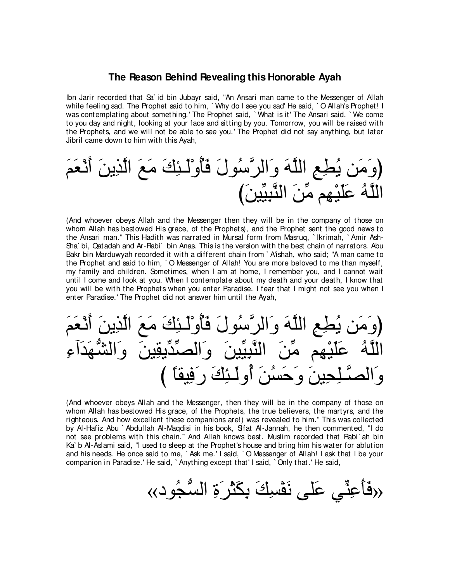#### **The Reason Behind Revealing this Honorable Ayah**

Ibn Jarir recorded that Sa` id bin Jubayr said, "An Ansari man came to the Messenger of Allah while feeling sad. The Prophet said to him, ` Why do I see you sad' He said, ` O Allah's Prophet! I was contemplating about something.' The Prophet said, ` What is it' The Ansari said, ` We come to you day and night, looking at your face and sitting by you. Tomorrow, you will be raised with the Prophets, and we will not be able to see you.' The Prophet did not say anything, but later Jibril came down to him with this Ayah,

∠ユ∠バ∇ル∠ぺ ∠リΑ⌒グzャや ∠ノ∠ョ ∠マ⌒ゃ⇒∠ャ∇ヱ⊥ほ∠プ ∠メヲ⊥シzゲャや∠ヱ ∠ヮzヤャや ⌒ノ⌒ト⊥Α リ∠ョ∠ヱぴ び∠リΒあΒ⌒らzレャや ∠リあョ ユ⌒ヰ∇Β∠ヤ∠ハ ⊥ヮzヤャや

(And whoever obeys Allah and the Messenger then they will be in the company of those on whom Allah has bestowed His grace, of the Prophets), and the Prophet sent the good news to the Ansari man.'' This Hadith was narrated in Mursal form from Masruq, ` Ikrimah, ` Amir Ash-Sha` bi, Qatadah and Ar-Rabi` bin Anas. This is the version with the best chain of narrators. Abu Bakr bin Marduwyah recorded it with a different chain from ` A'ishah, who said; "A man came to the Prophet and said to him, ` O Messenger of Allah! You are more beloved to me than myself, my family and children. Sometimes, when I am at home, I remember you, and I cannot wait until I come and look at you. When I contemplate about my death and your death, I know that you will be with the Prophets when you enter Paradise. I fear that I might not see you when I enter Paradise.' The Prophet did not answer him until the Ayah,

∠ユ∠バ∇ル∠ぺ ∠リΑ⌒グzャや ∠ノ∠ョ ∠マ⌒ゃ⇒∠ャ∇ヱ⊥ほ∠プ ∠メヲ⊥シzゲャや∠ヱ ∠ヮzヤャや ⌒ノ⌒ト⊥Α リ∠ョ∠ヱぴ ⌒¬へ∠ギ∠ヰぁゼャや∠ヱ ∠リΒ⌒ボΑあギあダャや∠ヱ ∠リΒあΒ⌒らzレャや ∠リあョ ユ⌒ヰ∇Β∠ヤ∠ハ ⊥ヮzヤャや び ⇔ゅボΒ⌒プ∠ケ ∠マ⌒ゃ⇒∠ャヱ⊥ぺ ∠リ⊥ジ∠ェ∠ヱ ∠リΒ⌒エ⌒ヤ⇒zダャや∠ヱ

(And whoever obeys Allah and the Messenger, then they will be in the company of those on whom Allah has bestowed His grace, of the Prophets, the true believers, the martyrs, and the righteous. And how excellent these companions are!) was revealed to him.'' This was collected by Al-Hafiz Abu ` Abdullah Al-Maqdisi in his book, Sifat Al-Jannah, he then commented, "I do not see problems with this chain.'' And Allah knows best. Muslim recorded that Rabi` ah bin Ka` b Al-Aslami said, "I used to sleep at the Prophet's house and bring him his water for ablution and his needs. He once said to me, ` Ask me.' I said, ` O Messenger of Allah! I ask that I be your companion in Paradise.' He said, ` Anything except that' I said, ` Only that.' He said,

«キヲ⊥イぁジャや ⌒り∠ゲ∇ん∠ム⌒よ ∠マ⌒ジ∇ヘ∠ル ヴヤ∠ハ ヶあレ⌒ハ∠ほ∠プ»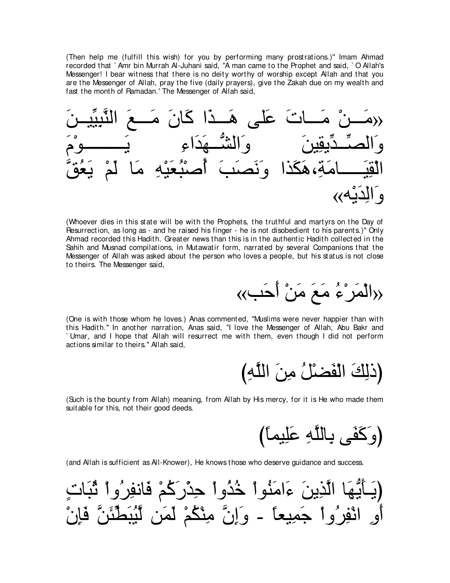(Then help me (fulfill this wish) for you by performing many prostrations.)'' Imam Ahmad recorded that ` Amr bin Murrah Al-Juhani said, "A man came to the Prophet and said, ` O Allah's Messenger! I bear witness that there is no deity worthy of worship except Allah and that you are the Messenger of Allah, pray the five (daily prayers), give the Zakah due on my wealth and fast the month of Ramadan.' The Messenger of Allah said,



(Whoever dies in this state will be with the Prophets, the truthful and martyrs on the Day of Resurrection, as long as - and he raised his finger - he is not disobedient to his parents.)'' Only Ahmad recorded this Hadith. Greater news than this is in the authentic Hadith collected in the Sahih and Musnad compilations, in Mutawatir form, narrated by several Companions that the Messenger of Allah was asked about the person who loves a people, but his status is not close to theirs. The Messenger said,

«دالمر ْءُ مَعَ مَنْ أَحَب»

(One is with those whom he loves.) Anas commented, "Muslims were never happier than with this Hadith.'' In another narration, Anas said, "I love the Messenger of Allah, Abu Bakr and ` Umar, and I hope that Allah will resurrect me with them, even though I did not perform actions similar to theirs.'' Allah said,

(ذَلِكَ الْفَضَلُّ مِنَ اللَّهِ)

(Such is the bounty from Allah) meaning, from Allah by His mercy, for it is He who made them suitable for this, not their good deeds.

(وَكَفَى بِاللَّهِ عَلِيماً)

(and Allah is sufficient as All-Knower), He knows those who deserve guidance and success.

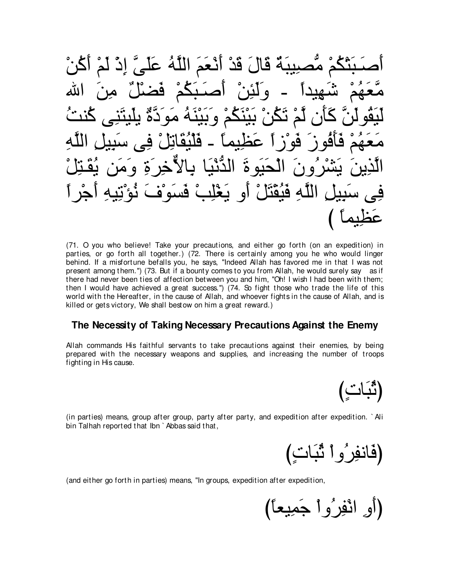بِيِبَةٌ قَالَ قَدْ أَنْعَمَ اللَّهُ عَلَىَّ إِذْ لَمْ أَكُنْ أصَيَنَكُمْ ۖ فَضَلْلٌ  $\int_{0}^{\infty}$  $\ddot{\bm{c}}$ سنك م و يبذ <u>۱۹</u>  $\tilde{L}_{LL}^{eq}$  $\tilde{\ddot{\cdot} }$  $\Delta$ اللَّه فَيُقْتَلْ أَو بَعْلِد فسه ف

(71. O you who believe! Take your precautions, and either go forth (on an expedition) in parties, or go forth all together.) (72. There is certainly among you he who would linger behind. If a misfortune befalls you, he says, "Indeed Allah has favored me in that I was not present among them.") (73. But if a bounty comes to you from Allah, he would surely say as if there had never been ties of affection between you and him, "Oh! I wish I had been with them; then I would have achieved a great success.") (74. So fight those who trade the life of this world with the Hereafter, in the cause of Allah, and whoever fights in the cause of Allah, and is killed or gets victory. We shall bestow on him a great reward.)

#### The Necessity of Taking Necessary Precautions Against the Enemy

Allah commands His faithful servants to take precautions against their enemies, by being prepared with the necessary weapons and supplies, and increasing the number of troops fighting in His cause.

ثبات)

(in parties) means, group after group, party after party, and expedition after expedition. `Ali bin Talhah reported that Ibn `Abbas said that,

(فَانْفِرُواْ ثَبَاتٍ)

(and either go forth in parties) means, "In groups, expedition after expedition,

(أَوِ انْفِرُواْ جَمِيعًا)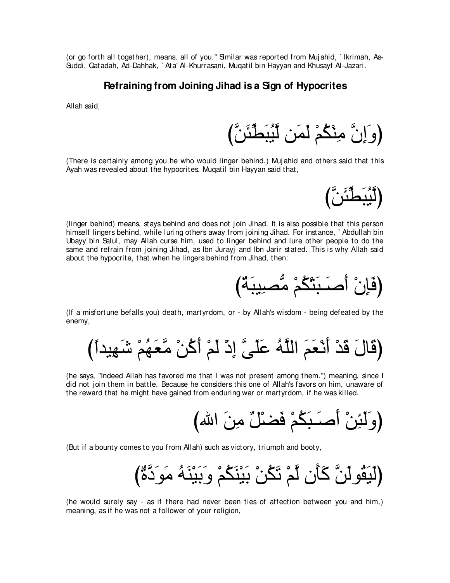(or go forth all together), means, all of you." Similar was reported from Mujahid, `Ikrimah, As-Suddi, Qatadah, Ad-Dahhak, ` Ata' Al-Khurrasani, Muqatil bin Hayyan and Khusayf Al-Jazari.

## **Refraining from Joining Jihad is a Sign of Hypocrites**

Allah said,

(وَ إِنَّ مِنْكُمْ لَمَنِ لَّيْبَطِّئَنَّ)

(There is certainly among you he who would linger behind.) Muj ahid and others said that this Ayah was revealed about the hypocrites. Muqatil bin Hayyan said that,

سر<br>يبيطنن")

(linger behind) means, stays behind and does not join Jihad. It is also possible that this person himself lingers behind, while luring others away from joining Jihad. For instance, `Abdullah bin Ubayy bin Salul, may Allah curse him, used to linger behind and lure other people to do the same and refrain from joining Jihad, as Ibn Jurayj and Ibn Jarir stated. This is why Allah said about the hypocrite, that when he lingers behind from Jihad, then:



(If a misfortune befalls you) death, martyrdom, or - by Allah's wisdom - being defeated by the enemy,

び⇔やギΒ⌒ヰ∠セ ∇ユ⊥ヰ∠バzョ ∇リ⊥ミ∠ぺ ∇ユ∠ャ ∇ク⌒ま zヴ∠ヤ∠ハ ⊥ヮzヤャや ∠ユ∠バ∇ル∠ぺ ∇ギ∠ホ ∠メゅ∠ホぴ

(he says, "Indeed Allah has favored me that I was not present among them.'') meaning, since I did not join them in battle. Because he considers this one of Allah's favors on him, unaware of the reward that he might have gained from enduring war or martyrdom, if he was killed.

びぶや ∠リ⌒ョ ∀モ∇ツ∠プ ∇ユ⊥ム∠ら⇒∠タ∠ぺ ∇リ⌒ゃ∠ャ∠ヱぴ

(But if a bounty comes to you from Allah) such as victory, triumph and booty,

び∀りzキ∠ヲ∠ョ ⊥ヮ∠レ∇Β∠よ∠ヱ ∇ユ⊥ム∠レ∇Β∠よ ∇リ⊥ム∠ゎ ∇ユzャ ラ∠ほ∠ミ zリ∠ャヲ⊥ボ∠Β∠ャぴ

(he would surely say - as if there had never been ties of affection between you and him,) meaning, as if he was not a follower of your religion,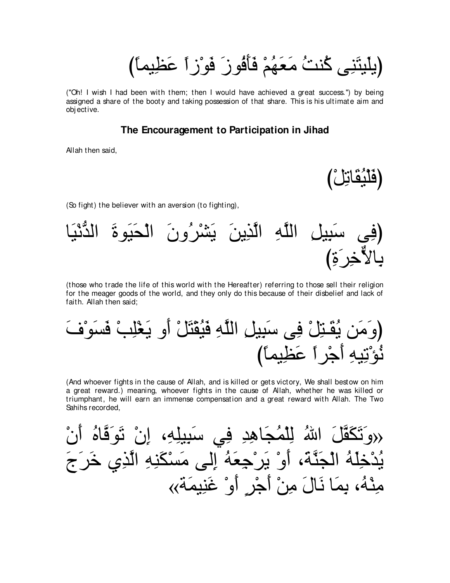ى كُنتُ مَعَهُمْ فَأَفُوزَ فَوْزٍاً عَظِيماً)

("Oh! I wish I had been with them; then I would have achieved a great success.'') by being assigned a share of the booty and taking possession of that share. This is his ultimate aim and obj ective.

#### **The Encouragement to Participation in Jihad**

Allah then said,

ا قليفاتا

(So fight) the believer with an aversion (to fighting),



(those who trade the life of this world with the Hereafter) referring to those sell their religion for the meager goods of the world, and they only do this because of their disbelief and lack of faith. Allah then said;

∠フ∇ヲ∠ジ∠プ ∇ょ⌒ヤ∇ピ∠Α ヱ∠ぺ ∇モ∠わ∇ボ⊥Β∠プ ⌒ヮzヤャや ⌒モΒ⌒ら∠シ ヴ⌒プ ∇モ⌒わ⇒∠ボ⊥Α リ∠ョ∠ヱぴ び⇔ゅヨΒ⌒ヌ∠ハ ⇔やゲ∇ィ∠ぺ ⌒ヮΒ⌒ゎ∇ぽ⊥ル

(And whoever fights in the cause of Allah, and is killed or gets victory, We shall bestow on him a great reward.) meaning, whoever fights in the cause of Allah, whether he was killed or triumphant, he will earn an immense compensation and a great reward with Allah. The Two Sahihs recorded,

دروَتَكَقَّلَ اللهُ لِلمُجَاهِدِ فِي سَبِيلِهِ، إنّ توقاهَ) يُدْخِلَهُ الْجَنَّةَ، أَوْ يَرِ`جِعَهُ إلى مَسْكَنِهِ الَّذِي خَر مِنْهُ، بِمَا نَالَ مِنْ أُجْرِ أَوْ غَنِيمَة<sub>ً</sub>››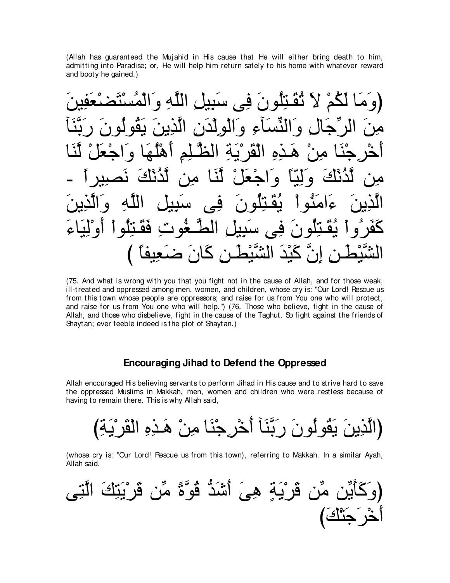(Allah has guaranteed the Mujahid in His cause that He will either bring death to him, admitting into Paradise; or, He will help him return safely to his home with whatever reward and booty he gained.)

(75. And what is wrong with you that you fight not in the cause of Allah, and for those weak, ill-treated and oppressed among men, women, and children, whose cry is: "Our Lord! Rescue us from this town whose people are oppressors; and raise for us from You one who will protect, and raise for us from You one who will help.") (76. Those who believe, fight in the cause of Allah, and those who disbelieve, fight in the cause of the Taghut. So fight against the friends of Shaytan; ever feeble indeed is the plot of Shaytan.)

## Encouraging Jihad to Defend the Oppressed

Allah encouraged His believing servants to perform Jihad in His cause and to strive hard to save the oppressed Muslims in Makkah, men, women and children who were restless because of having to remain there. This is why Allah said,

(whose cry is: "Our Lord! Rescue us from this town), referring to Makkah. In a similar Ayah, Allah said.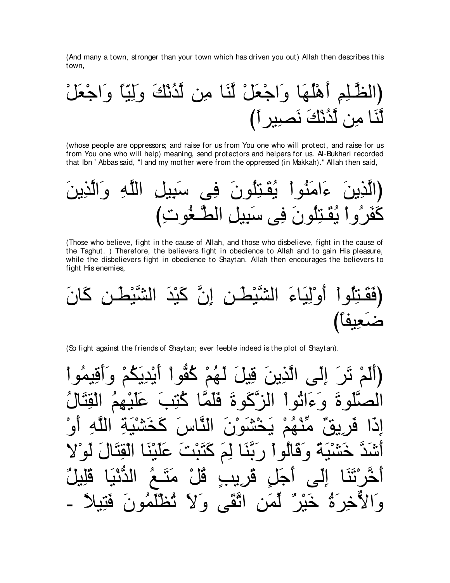(And many a town, stronger than your town which has driven you out) Allah then describes this town,



(whose people are oppressors; and raise for us from You one who will protect, and raise for us from You one who will help) meaning, send protectors and helpers for us. Al-Bukhari recorded that Ibn ` Abbas said, "I and my mother were from the oppressed (in Makkah).'' Allah then said,

∠リΑ⌒グzャや∠ヱ ⌒ヮzヤャや ⌒モΒ⌒ら∠シ ヴ⌒プ ∠ラヲ⊥ヤ⌒わ⇒∠ボ⊥Α ∇やヲ⊥レ∠ョや∠¬ ∠リΑ⌒グzャやぴ び⌒れヲ⊥ピ⇒zトャや ⌒モΒ⌒ら∠シ ヴ⌒プ ∠ラヲ⊥ヤ⌒わ⇒∠ボ⊥Α ∇やヱ⊥ゲ∠ヘ∠ミ

(Those who believe, fight in the cause of Allah, and those who disbelieve, fight in the cause of the Taghut. ) Therefore, the believers fight in obedience to Allah and to gain His pleasure, while the disbelievers fight in obedience to Shaytan. Allah then encourages the believers to fight His enemies,

∠ラゅ∠ミ ⌒リ⇒∠ト∇Βzゼャや ∠ギ∇Β∠ミ zラ⌒ま ⌒リ⇒∠ト∇Βzゼャや ∠¬ゅ∠Β⌒ャ∇ヱ∠ぺ ∇やヲ⊥ヤ⌒わ⇒∠ボ∠プぴ び⇔ゅヘΒ⌒バ∠ッ

(So fight against the friends of Shaytan; ever feeble indeed is the plot of Shaytan).

ِقِيلَ لَهُمْ كُقُواْ √د خَ و َءَاثُو أ الزَّكَو ةَ فَلَمَّ لِذَا فَرِيقٌ مِّنْهُمْ يَخْشَوْنَ النَّاسَ كَخَشْيَةِ اللَّهِ أَوْ اَشَدَّ خَشْبَهً وَقَالُواْ رَبَّنَا لِمَ كَتَبْتَ عَلَيْنَا الْقِثَالَ لَوْلا ِتَنَا إِلَى أَجَلِ قُرِيبِ قُلْ مَذَ وَالأُخِرَةُ خَيْرٌ لِّمَنِ اتَّقَى وَلاَ تُظْلَمُونَ فَنِّدِ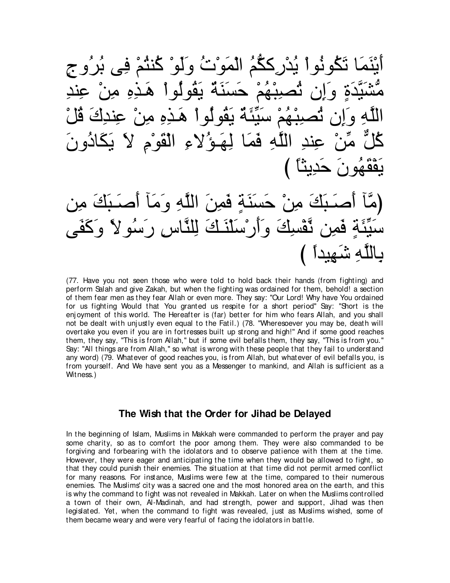دْرِ كَكَّمُ الْمَوْتَ وَلَوْ كَنْتُمْ فِي بَرُوجِ حسنة لہ ا ببنة يقو الْقُوْم لصؤكاء <u>d</u> فما حسنةٍ فَمِنَ اللَّهِ وَمَا أَصْبَكَ تَّقْسِكَ وَأَرْ سَلَنَكَ لِلنَّاسِ رَسُو لاَ وَكَفَ

(77. Have you not seen those who were told to hold back their hands (from fighting) and perform Salah and give Zakah, but when the fighting was ordained for them, behold! a section of them fear men as they fear Allah or even more. They say: "Our Lord! Why have You ordained for us fighting Would that You granted us respite for a short period" Say: "Short is the enjoyment of this world. The Hereafter is (far) better for him who fears Allah, and you shall not be dealt with unjustly even equal to the Fatil.) (78. "Wheresoever you may be, death will overtake you even if you are in fortresses built up strong and high!" And if some good reaches them, they say, "This is from Allah," but if some evil befalls them, they say, "This is from you." Say: "All things are from Allah," so what is wrong with these people that they fail to understand any word) (79. Whatever of good reaches you, is from Allah, but whatever of evil befalls you, is from yourself. And We have sent you as a Messenger to mankind, and Allah is sufficient as a Witness.)

بالله شهبدا

## The Wish that the Order for Jihad be Delayed

In the beginning of Islam, Muslims in Makkah were commanded to perform the prayer and pay some charity, so as to comfort the poor among them. They were also commanded to be forgiving and forbearing with the idolators and to observe patience with them at the time. However, they were eager and anticipating the time when they would be allowed to fight, so that they could punish their enemies. The situation at that time did not permit armed conflict for many reasons. For instance, Muslims were few at the time, compared to their numerous enemies. The Muslims' city was a sacred one and the most honored area on the earth, and this is why the command to fight was not revealed in Makkah. Later on when the Muslims controlled a town of their own, Al-Madinah, and had strength, power and support, Jihad was then legislated. Yet, when the command to fight was revealed, just as Muslims wished, some of them became weary and were very fearful of facing the idolators in battle.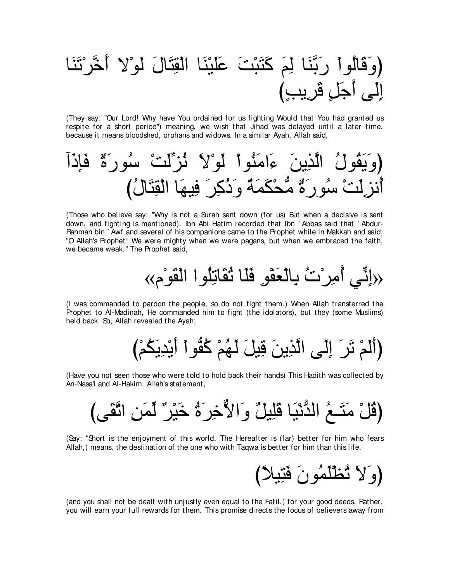ゅ∠レ∠ゎ∇ゲzカ∠ぺ Ι∇ヲ∠ャ ∠メゅ∠わ⌒ボ∇ャや ゅ∠レ∇Β∠ヤ∠ハ ∠ろ∇ら∠わ∠ミ ∠ユ⌒ャ ゅ∠レzよ∠ケ ∇やヲ⊥ャゅ∠ホ∠ヱぴ び∃ょΑ⌒ゲ∠ホ ∃モ∠ィ∠ぺ ヴ∠ャ⌒ま

(They say: "Our Lord! Why have You ordained for us fighting Would that You had granted us respite for a short period'') meaning, we wish that Jihad was delayed until a later time, because it means bloodshed, orphans and widows. In a similar Ayah, Allah said,

へ∠ク⌒み∠プ ∀り∠ケヲ⊥シ ∇ろ∠ャあゴ⊥ル ∠Ι∇ヲ∠ャ ∇やヲ⊥レ∠ョや∠¬ ∠リΑ⌒グzャや ⊥メヲ⊥ボ∠Α∠ヱぴ び⊥メゅ∠わ⌒ボ∇ャや ゅ∠ヰΒ⌒プ ∠ゲ⌒ミ⊥ク∠ヱ ∀る∠ヨ∠ム∇エぁョ ∀り∠ケヲ⊥シ ∇ろ∠ャ⌒ゴル⊥ぺ

(Those who believe say: "Why is not a Surah sent down (for us) But when a decisive is sent down, and fighting is mentioned). Ibn Abi Hatim recorded that Ibn ` Abbas said that ` Abdur-Rahman bin ` Awf and several of his companions came to the Prophet while in Makkah and said, "O Allah's Prophet! We were mighty when we were pagans, but when we embraced the faith, we became weak.'' The Prophet said,

«ュ∇ヲ∠ボ∇ャや やヲ⊥ヤ⌒ゎゅ∠ボ⊥ゎ ゅ∠ヤ∠プ ⌒ヲ∇ヘ∠バ∇ャゅ⌒よ ⊥れ∇ゲ⌒ョ⊥ぺ ヶあル⌒ま»

(I was commanded to pardon the people, so do not fight them.) When Allah transferred the Prophet to Al-Madinah, He commanded him to fight (the idolators), but they (some Muslims) held back. So, Allah revealed the Ayah;

び∇ユ⊥ム∠Α⌒ギ∇Α∠ぺ ∇やヲぁヘ⊥ミ ∇ユ⊥ヰ∠ャ ∠モΒ⌒ホ ∠リΑ⌒グzャや ヴ∠ャ⌒ま ∠ゲ∠ゎ ∇ユ∠ャ∠ぺぴ

(Have you not seen those who were told to hold back their hands) This Hadith was collected by An-Nasa'i and Al-Hakim. Allah's statement,

びヴ∠ボzゎや ⌒リ∠ヨあャ ∀ゲ∇Β∠カ ⊥り∠ゲ⌒カxΙや∠ヱ ∀モΒ⌒ヤ∠ホ ゅ∠Β∇ルぁギャや ⊥ノ⇒∠わ∠ョ ∇モ⊥ホぴ

(Say: "Short is the enj oyment of this world. The Hereafter is (far) better for him who fears Allah,) means, the destination of the one who with Taqwa is better for him than this life.

(وَلاَ ثَظْلَمُونَ فَتِيلاً)

(and you shall not be dealt with unj ustly even equal to the Fatil.) for your good deeds. Rather, you will earn your full rewards for them. This promise directs the focus of believers away from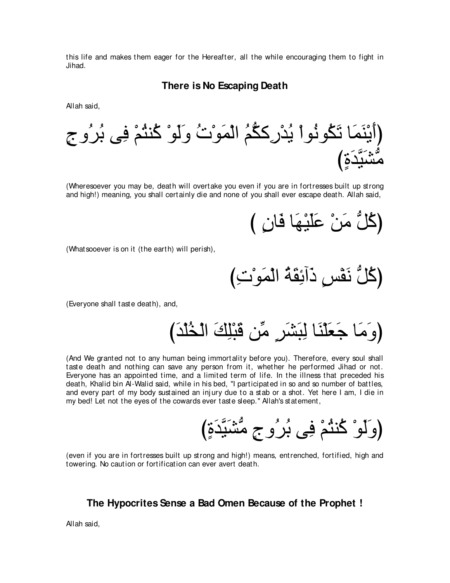this life and makes them eager for the Hereafter, all the while encouraging them to fight in Jihad.

### There is No Escaping Death

Allah said,

(Wheresoever you may be, death will overtake you even if you are in fortresses built up strong and high!) meaning, you shall certainly die and none of you shall ever escape death. Allah said,

(كُلُّ مَنْ عَلَيْهَا فَانِ )

(What sooever is on it (the earth) will perish),

(Everyone shall taste death), and,

(And We granted not to any human being immortality before you). Therefore, every soul shall taste death and nothing can save any person from it, whether he performed Jihad or not. Everyone has an appointed time, and a limited term of life. In the illness that preceded his death, Khalid bin Al-Walid said, while in his bed, "I participated in so and so number of battles, and every part of my body sustained an injury due to a stab or a shot. Yet here I am, I die in my bed! Let not the eyes of the cowards ever taste sleep." Allah's statement,

(even if you are in fortresses built up strong and high!) means, entrenched, fortified, high and towering. No caution or fortification can ever avert death.

#### The Hypocrites Sense a Bad Omen Because of the Prophet!

Allah said.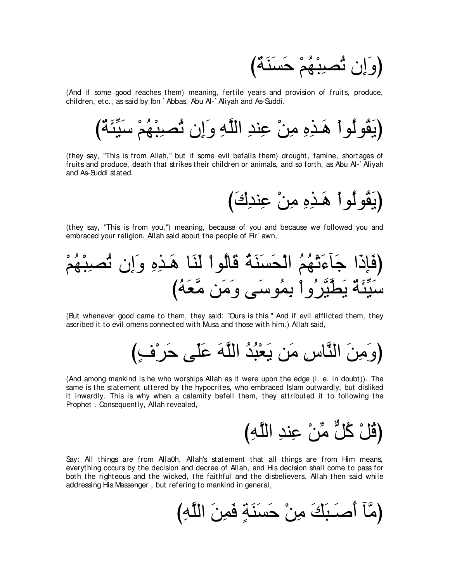(وَإِن تُصِيبْهُمْ حَسَنَةٌ)

(And if some good reaches them) meaning, fertile years and provision of fruits, produce, children, etc., as said by Ibn `Abbas, Abu Al-`Aliyah and As-Suddi.

(they say, "This is from Allah," but if some evil befalls them) drought, famine, shortages of fruits and produce, death that strikes their children or animals, and so forth, as Abu Al-`Aliyah and As-Suddi stated.

(يَقُولُواْ هَذِهِ مِنْ عِندِكَ)

(they say, "This is from you,") meaning, because of you and because we followed you and embraced your religion. Allah said about the people of Fir`awn,

(But whenever good came to them, they said: "Ours is this." And if evil afflicted them, they ascribed it to evil omens connected with Musa and those with him.) Allah said,

(And among mankind is he who worships Allah as it were upon the edge (i. e. in doubt)). The same is the statement uttered by the hypocrites, who embraced Islam outwardly, but disliked it inwardly. This is why when a calamity befell them, they attributed it to following the Prophet. Consequently, Allah revealed,

(قُلْ كُلٌّ مِّنْ عِندِ اللَّهِ)

Say: All things are from Alla0h, Allah's statement that all things are from Him means, everything occurs by the decision and decree of Allah, and His decision shall come to pass for both the righteous and the wicked, the faithful and the disbelievers. Allah then said while addressing His Messenger, but refering to mankind in general,

(مَّاۤ أَصنَبَكَ مِنْ حَسَنَةٍ فَمِنَ اللَّهِ)